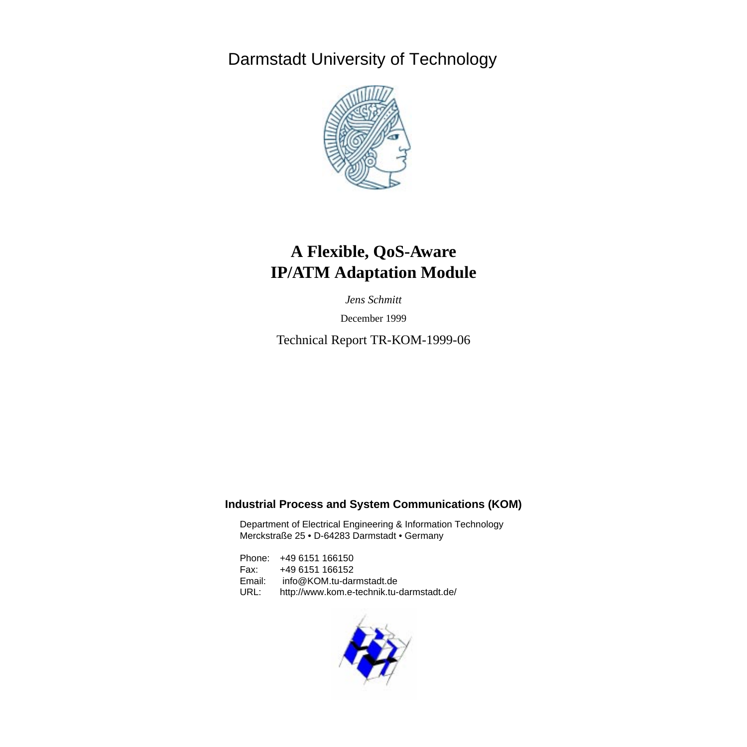Darmstadt University of Technology



# **A Flexible, QoS-Aware IP/ATM Adaptation Module**

*Jens Schmitt*

December 1999

Technical Report TR-KOM-1999-06

## **Industrial Process and System Communications (KOM)**

Department of Electrical Engineering & Information Technology Merckstraße 25 • D-64283 Darmstadt • Germany

Phone: +49 6151 166150 Fax: +49 6151 166152 Email: info@KOM.tu-darmstadt.de URL: http://www.kom.e-technik.tu-darmstadt.de/

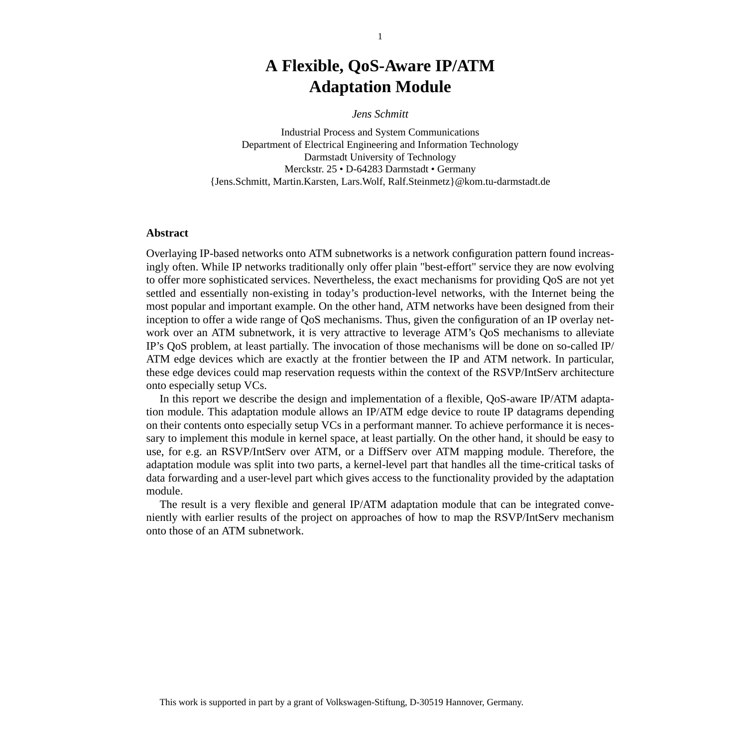# **A Flexible, QoS-Aware IP/ATM Adaptation Module**

*Jens Schmitt*

Industrial Process and System Communications Department of Electrical Engineering and Information Technology Darmstadt University of Technology Merckstr. 25 • D-64283 Darmstadt • Germany {Jens.Schmitt, Martin.Karsten, Lars.Wolf, Ralf.Steinmetz}@kom.tu-darmstadt.de

#### **Abstract**

Overlaying IP-based networks onto ATM subnetworks is a network configuration pattern found increasingly often. While IP networks traditionally only offer plain "best-effort" service they are now evolving to offer more sophisticated services. Nevertheless, the exact mechanisms for providing QoS are not yet settled and essentially non-existing in today's production-level networks, with the Internet being the most popular and important example. On the other hand, ATM networks have been designed from their inception to offer a wide range of QoS mechanisms. Thus, given the configuration of an IP overlay network over an ATM subnetwork, it is very attractive to leverage ATM's QoS mechanisms to alleviate IP's QoS problem, at least partially. The invocation of those mechanisms will be done on so-called IP/ ATM edge devices which are exactly at the frontier between the IP and ATM network. In particular, these edge devices could map reservation requests within the context of the RSVP/IntServ architecture onto especially setup VCs.

In this report we describe the design and implementation of a flexible, QoS-aware IP/ATM adaptation module. This adaptation module allows an IP/ATM edge device to route IP datagrams depending on their contents onto especially setup VCs in a performant manner. To achieve performance it is necessary to implement this module in kernel space, at least partially. On the other hand, it should be easy to use, for e.g. an RSVP/IntServ over ATM, or a DiffServ over ATM mapping module. Therefore, the adaptation module was split into two parts, a kernel-level part that handles all the time-critical tasks of data forwarding and a user-level part which gives access to the functionality provided by the adaptation module.

The result is a very flexible and general IP/ATM adaptation module that can be integrated conveniently with earlier results of the project on approaches of how to map the RSVP/IntServ mechanism onto those of an ATM subnetwork.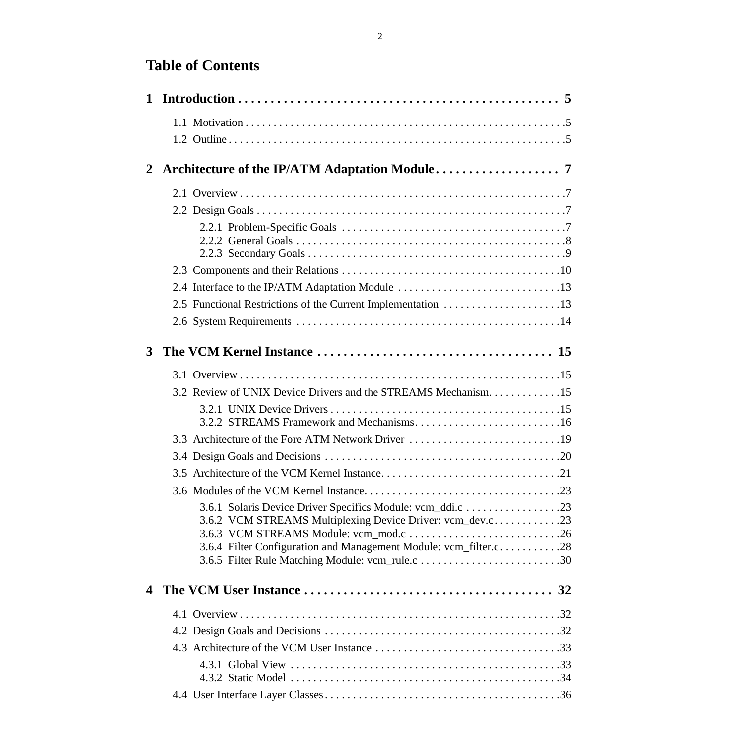# **Table of Contents**

| $\mathbf{2}$<br>2.4 Interface to the IP/ATM Adaptation Module 13<br>2.5 Functional Restrictions of the Current Implementation 13<br>$3^{\circ}$<br>3.2 Review of UNIX Device Drivers and the STREAMS Mechanism15<br>3.3 Architecture of the Fore ATM Network Driver 19<br>3.6.2 VCM STREAMS Multiplexing Device Driver: vcm_dev.c<br>3.6.4 Filter Configuration and Management Module: vcm_filter.c28<br>$\boldsymbol{4}$ |  |  |  |
|---------------------------------------------------------------------------------------------------------------------------------------------------------------------------------------------------------------------------------------------------------------------------------------------------------------------------------------------------------------------------------------------------------------------------|--|--|--|
|                                                                                                                                                                                                                                                                                                                                                                                                                           |  |  |  |
|                                                                                                                                                                                                                                                                                                                                                                                                                           |  |  |  |
|                                                                                                                                                                                                                                                                                                                                                                                                                           |  |  |  |
|                                                                                                                                                                                                                                                                                                                                                                                                                           |  |  |  |
|                                                                                                                                                                                                                                                                                                                                                                                                                           |  |  |  |
|                                                                                                                                                                                                                                                                                                                                                                                                                           |  |  |  |
|                                                                                                                                                                                                                                                                                                                                                                                                                           |  |  |  |
|                                                                                                                                                                                                                                                                                                                                                                                                                           |  |  |  |
|                                                                                                                                                                                                                                                                                                                                                                                                                           |  |  |  |
|                                                                                                                                                                                                                                                                                                                                                                                                                           |  |  |  |
|                                                                                                                                                                                                                                                                                                                                                                                                                           |  |  |  |
|                                                                                                                                                                                                                                                                                                                                                                                                                           |  |  |  |
|                                                                                                                                                                                                                                                                                                                                                                                                                           |  |  |  |
|                                                                                                                                                                                                                                                                                                                                                                                                                           |  |  |  |
|                                                                                                                                                                                                                                                                                                                                                                                                                           |  |  |  |
|                                                                                                                                                                                                                                                                                                                                                                                                                           |  |  |  |
|                                                                                                                                                                                                                                                                                                                                                                                                                           |  |  |  |
|                                                                                                                                                                                                                                                                                                                                                                                                                           |  |  |  |
|                                                                                                                                                                                                                                                                                                                                                                                                                           |  |  |  |
|                                                                                                                                                                                                                                                                                                                                                                                                                           |  |  |  |
|                                                                                                                                                                                                                                                                                                                                                                                                                           |  |  |  |
|                                                                                                                                                                                                                                                                                                                                                                                                                           |  |  |  |
|                                                                                                                                                                                                                                                                                                                                                                                                                           |  |  |  |
|                                                                                                                                                                                                                                                                                                                                                                                                                           |  |  |  |
|                                                                                                                                                                                                                                                                                                                                                                                                                           |  |  |  |
|                                                                                                                                                                                                                                                                                                                                                                                                                           |  |  |  |
|                                                                                                                                                                                                                                                                                                                                                                                                                           |  |  |  |
|                                                                                                                                                                                                                                                                                                                                                                                                                           |  |  |  |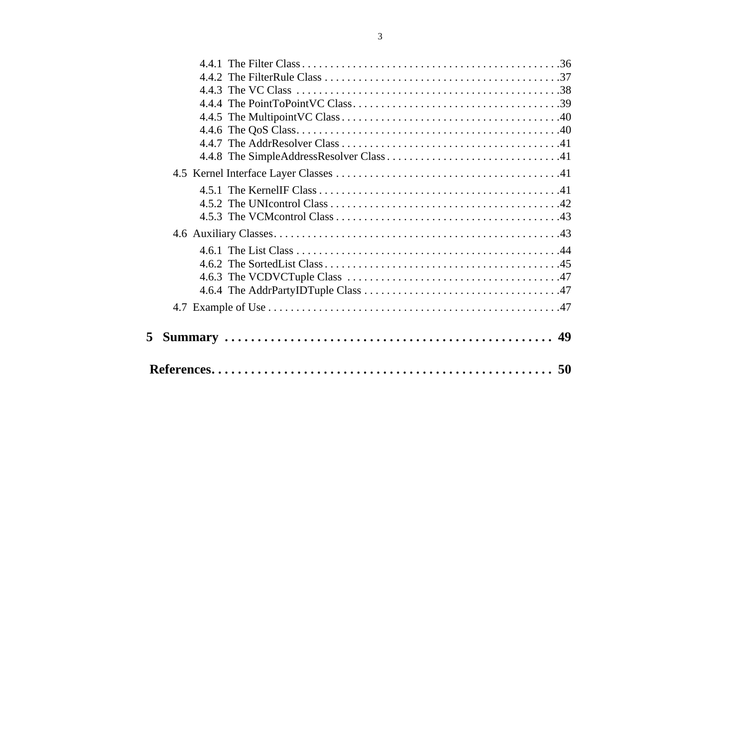| 5. |  |  |
|----|--|--|
|    |  |  |
|    |  |  |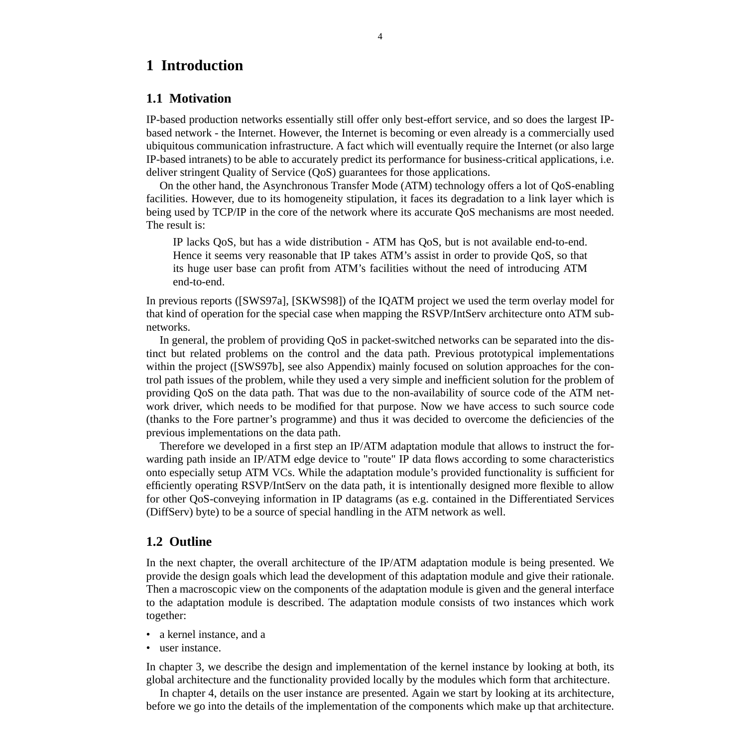# <span id="page-4-0"></span>**1 Introduction**

#### **1.1 Motivation**

IP-based production networks essentially still offer only best-effort service, and so does the largest IPbased network - the Internet. However, the Internet is becoming or even already is a commercially used ubiquitous communication infrastructure. A fact which will eventually require the Internet (or also large IP-based intranets) to be able to accurately predict its performance for business-critical applications, i.e. deliver stringent Quality of Service (QoS) guarantees for those applications.

On the other hand, the Asynchronous Transfer Mode (ATM) technology offers a lot of QoS-enabling facilities. However, due to its homogeneity stipulation, it faces its degradation to a link layer which is being used by TCP/IP in the core of the network where its accurate QoS mechanisms are most needed. The result is:

IP lacks QoS, but has a wide distribution - ATM has QoS, but is not available end-to-end. Hence it seems very reasonable that IP takes ATM's assist in order to provide QoS, so that its huge user base can profit from ATM's facilities without the need of introducing ATM end-to-end.

In previous reports ([SWS97a], [SKWS98]) of the IQATM project we used the term overlay model for that kind of operation for the special case when mapping the RSVP/IntServ architecture onto ATM subnetworks.

In general, the problem of providing QoS in packet-switched networks can be separated into the distinct but related problems on the control and the data path. Previous prototypical implementations within the project ([SWS97b], see also Appendix) mainly focused on solution approaches for the control path issues of the problem, while they used a very simple and inefficient solution for the problem of providing QoS on the data path. That was due to the non-availability of source code of the ATM network driver, which needs to be modified for that purpose. Now we have access to such source code (thanks to the Fore partner's programme) and thus it was decided to overcome the deficiencies of the previous implementations on the data path.

Therefore we developed in a first step an IP/ATM adaptation module that allows to instruct the forwarding path inside an IP/ATM edge device to "route" IP data flows according to some characteristics onto especially setup ATM VCs. While the adaptation module's provided functionality is sufficient for efficiently operating RSVP/IntServ on the data path, it is intentionally designed more flexible to allow for other QoS-conveying information in IP datagrams (as e.g. contained in the Differentiated Services (DiffServ) byte) to be a source of special handling in the ATM network as well.

#### **1.2 Outline**

In the next chapter, the overall architecture of the IP/ATM adaptation module is being presented. We provide the design goals which lead the development of this adaptation module and give their rationale. Then a macroscopic view on the components of the adaptation module is given and the general interface to the adaptation module is described. The adaptation module consists of two instances which work together:

- a kernel instance, and a
- user instance.

In chapter 3, we describe the design and implementation of the kernel instance by looking at both, its global architecture and the functionality provided locally by the modules which form that architecture.

In chapter 4, details on the user instance are presented. Again we start by looking at its architecture, before we go into the details of the implementation of the components which make up that architecture.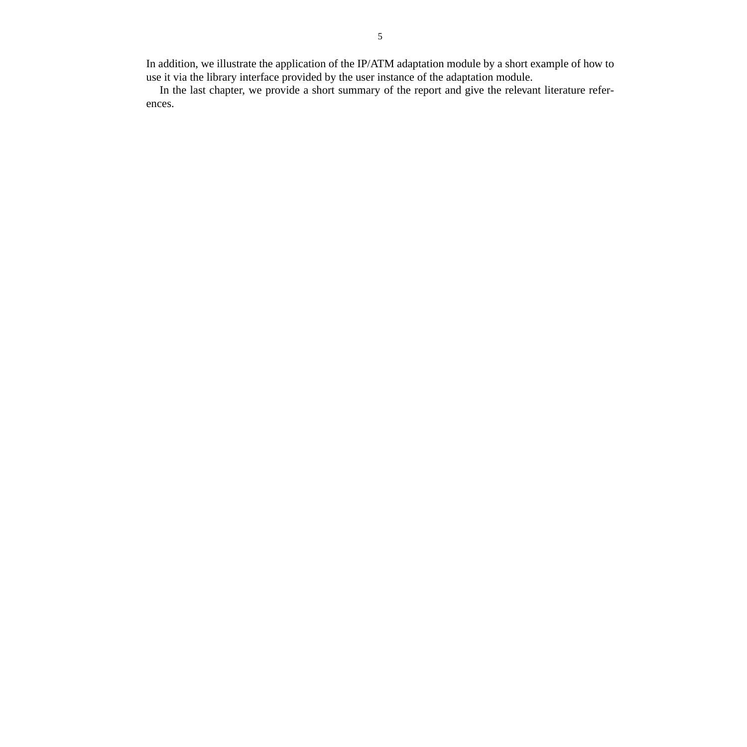In addition, we illustrate the application of the IP/ATM adaptation module by a short example of how to use it via the library interface provided by the user instance of the adaptation module.

In the last chapter, we provide a short summary of the report and give the relevant literature references.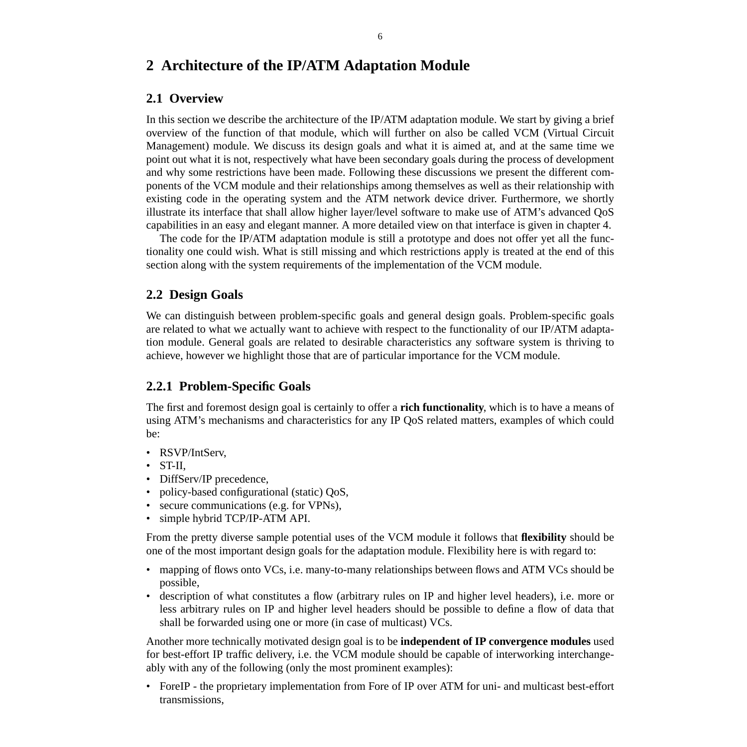# **2 Architecture of the IP/ATM Adaptation Module**

# **2.1 Overview**

In this section we describe the architecture of the IP/ATM adaptation module. We start by giving a brief overview of the function of that module, which will further on also be called VCM (Virtual Circuit Management) module. We discuss its design goals and what it is aimed at, and at the same time we point out what it is not, respectively what have been secondary goals during the process of development and why some restrictions have been made. Following these discussions we present the different components of the VCM module and their relationships among themselves as well as their relationship with existing code in the operating system and the ATM network device driver. Furthermore, we shortly illustrate its interface that shall allow higher layer/level software to make use of ATM's advanced QoS capabilities in an easy and elegant manner. A more detailed view on that interface is given in chapter 4.

The code for the IP/ATM adaptation module is still a prototype and does not offer yet all the functionality one could wish. What is still missing and which restrictions apply is treated at the end of this section along with the system requirements of the implementation of the VCM module.

# **2.2 Design Goals**

We can distinguish between problem-specific goals and general design goals. Problem-specific goals are related to what we actually want to achieve with respect to the functionality of our IP/ATM adaptation module. General goals are related to desirable characteristics any software system is thriving to achieve, however we highlight those that are of particular importance for the VCM module.

# **2.2.1 Problem-Specific Goals**

The first and foremost design goal is certainly to offer a **rich functionality**, which is to have a means of using ATM's mechanisms and characteristics for any IP QoS related matters, examples of which could be:

- RSVP/IntServ.
- ST-II,
- DiffServ/IP precedence,
- policy-based configurational (static) QoS,
- secure communications (e.g. for VPNs),
- simple hybrid TCP/IP-ATM API.

From the pretty diverse sample potential uses of the VCM module it follows that **flexibility** should be one of the most important design goals for the adaptation module. Flexibility here is with regard to:

- mapping of flows onto VCs, i.e. many-to-many relationships between flows and ATM VCs should be possible,
- description of what constitutes a flow (arbitrary rules on IP and higher level headers), i.e. more or less arbitrary rules on IP and higher level headers should be possible to define a flow of data that shall be forwarded using one or more (in case of multicast) VCs.

Another more technically motivated design goal is to be **independent of IP convergence modules** used for best-effort IP traffic delivery, i.e. the VCM module should be capable of interworking interchangeably with any of the following (only the most prominent examples):

• ForeIP - the proprietary implementation from Fore of IP over ATM for uni- and multicast best-effort transmissions,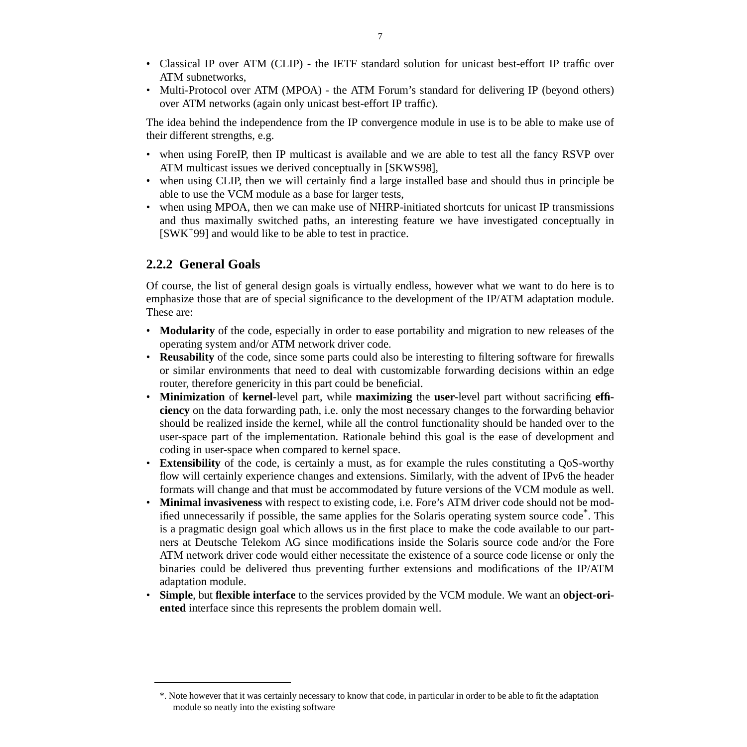- Classical IP over ATM (CLIP) the IETF standard solution for unicast best-effort IP traffic over ATM subnetworks,
- Multi-Protocol over ATM (MPOA) the ATM Forum's standard for delivering IP (beyond others) over ATM networks (again only unicast best-effort IP traffic).

The idea behind the independence from the IP convergence module in use is to be able to make use of their different strengths, e.g.

- when using ForeIP, then IP multicast is available and we are able to test all the fancy RSVP over ATM multicast issues we derived conceptually in [SKWS98],
- when using CLIP, then we will certainly find a large installed base and should thus in principle be able to use the VCM module as a base for larger tests,
- when using MPOA, then we can make use of NHRP-initiated shortcuts for unicast IP transmissions and thus maximally switched paths, an interesting feature we have investigated conceptually in [SWK+99] and would like to be able to test in practice.

# **2.2.2 General Goals**

Of course, the list of general design goals is virtually endless, however what we want to do here is to emphasize those that are of special significance to the development of the IP/ATM adaptation module. These are:

- **Modularity** of the code, especially in order to ease portability and migration to new releases of the operating system and/or ATM network driver code.
- **Reusability** of the code, since some parts could also be interesting to filtering software for firewalls or similar environments that need to deal with customizable forwarding decisions within an edge router, therefore genericity in this part could be beneficial.
- **Minimization** of **kernel**-level part, while **maximizing** the **user**-level part without sacrificing **efficiency** on the data forwarding path, i.e. only the most necessary changes to the forwarding behavior should be realized inside the kernel, while all the control functionality should be handed over to the user-space part of the implementation. Rationale behind this goal is the ease of development and coding in user-space when compared to kernel space.
- **Extensibility** of the code, is certainly a must, as for example the rules constituting a QoS-worthy flow will certainly experience changes and extensions. Similarly, with the advent of IPv6 the header formats will change and that must be accommodated by future versions of the VCM module as well.
- **Minimal invasiveness** with respect to existing code, i.e. Fore's ATM driver code should not be modified unnecessarily if possible, the same applies for the Solaris operating system source code<sup>\*</sup>. This is a pragmatic design goal which allows us in the first place to make the code available to our partners at Deutsche Telekom AG since modifications inside the Solaris source code and/or the Fore ATM network driver code would either necessitate the existence of a source code license or only the binaries could be delivered thus preventing further extensions and modifications of the IP/ATM adaptation module.
- **Simple**, but **flexible interface** to the services provided by the VCM module. We want an **object-oriented** interface since this represents the problem domain well.

<sup>\*.</sup> Note however that it was certainly necessary to know that code, in particular in order to be able to fit the adaptation module so neatly into the existing software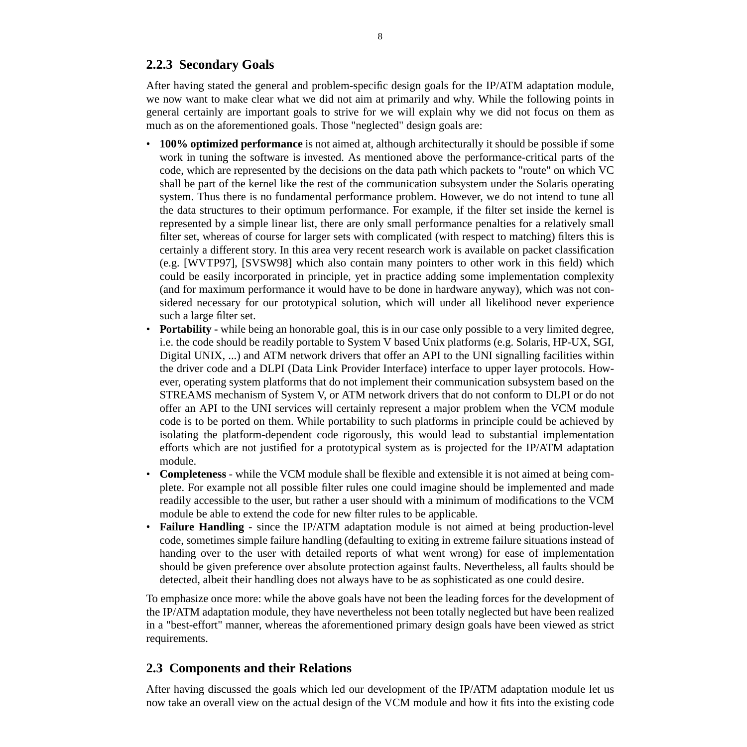# **2.2.3 Secondary Goals**

After having stated the general and problem-specific design goals for the IP/ATM adaptation module, we now want to make clear what we did not aim at primarily and why. While the following points in general certainly are important goals to strive for we will explain why we did not focus on them as much as on the aforementioned goals. Those "neglected" design goals are:

- **100% optimized performance** is not aimed at, although architecturally it should be possible if some work in tuning the software is invested. As mentioned above the performance-critical parts of the code, which are represented by the decisions on the data path which packets to "route" on which VC shall be part of the kernel like the rest of the communication subsystem under the Solaris operating system. Thus there is no fundamental performance problem. However, we do not intend to tune all the data structures to their optimum performance. For example, if the filter set inside the kernel is represented by a simple linear list, there are only small performance penalties for a relatively small filter set, whereas of course for larger sets with complicated (with respect to matching) filters this is certainly a different story. In this area very recent research work is available on packet classification (e.g. [WVTP97], [SVSW98] which also contain many pointers to other work in this field) which could be easily incorporated in principle, yet in practice adding some implementation complexity (and for maximum performance it would have to be done in hardware anyway), which was not considered necessary for our prototypical solution, which will under all likelihood never experience such a large filter set.
- **Portability** while being an honorable goal, this is in our case only possible to a very limited degree, i.e. the code should be readily portable to System V based Unix platforms (e.g. Solaris, HP-UX, SGI, Digital UNIX, ...) and ATM network drivers that offer an API to the UNI signalling facilities within the driver code and a DLPI (Data Link Provider Interface) interface to upper layer protocols. However, operating system platforms that do not implement their communication subsystem based on the STREAMS mechanism of System V, or ATM network drivers that do not conform to DLPI or do not offer an API to the UNI services will certainly represent a major problem when the VCM module code is to be ported on them. While portability to such platforms in principle could be achieved by isolating the platform-dependent code rigorously, this would lead to substantial implementation efforts which are not justified for a prototypical system as is projected for the IP/ATM adaptation module.
- **Completeness** while the VCM module shall be flexible and extensible it is not aimed at being complete. For example not all possible filter rules one could imagine should be implemented and made readily accessible to the user, but rather a user should with a minimum of modifications to the VCM module be able to extend the code for new filter rules to be applicable.
- **Failure Handling** since the IP/ATM adaptation module is not aimed at being production-level code, sometimes simple failure handling (defaulting to exiting in extreme failure situations instead of handing over to the user with detailed reports of what went wrong) for ease of implementation should be given preference over absolute protection against faults. Nevertheless, all faults should be detected, albeit their handling does not always have to be as sophisticated as one could desire.

To emphasize once more: while the above goals have not been the leading forces for the development of the IP/ATM adaptation module, they have nevertheless not been totally neglected but have been realized in a "best-effort" manner, whereas the aforementioned primary design goals have been viewed as strict requirements.

# **2.3 Components and their Relations**

After having discussed the goals which led our development of the IP/ATM adaptation module let us now take an overall view on the actual design of the VCM module and how it fits into the existing code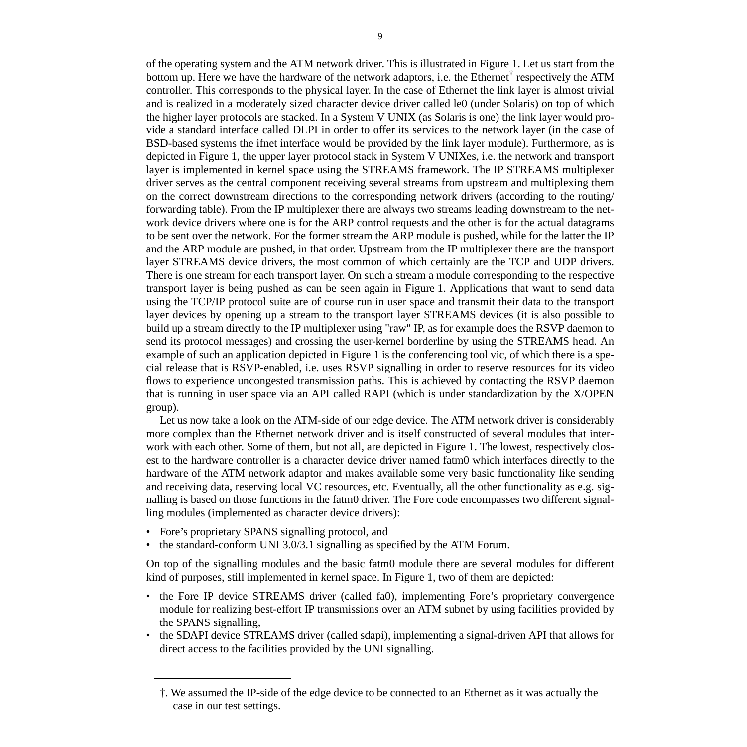of the operating system and the ATM network driver. This is illustrated in Figure 1. Let us start from the bottom up. Here we have the hardware of the network adaptors, i.e. the Ethernet<sup>†</sup> respectively the ATM controller. This corresponds to the physical layer. In the case of Ethernet the link layer is almost trivial and is realized in a moderately sized character device driver called le0 (under Solaris) on top of which the higher layer protocols are stacked. In a System V UNIX (as Solaris is one) the link layer would provide a standard interface called DLPI in order to offer its services to the network layer (in the case of BSD-based systems the ifnet interface would be provided by the link layer module). Furthermore, as is depicted in Figure 1, the upper layer protocol stack in System V UNIXes, i.e. the network and transport layer is implemented in kernel space using the STREAMS framework. The IP STREAMS multiplexer driver serves as the central component receiving several streams from upstream and multiplexing them on the correct downstream directions to the corresponding network drivers (according to the routing/ forwarding table). From the IP multiplexer there are always two streams leading downstream to the network device drivers where one is for the ARP control requests and the other is for the actual datagrams to be sent over the network. For the former stream the ARP module is pushed, while for the latter the IP and the ARP module are pushed, in that order. Upstream from the IP multiplexer there are the transport layer STREAMS device drivers, the most common of which certainly are the TCP and UDP drivers. There is one stream for each transport layer. On such a stream a module corresponding to the respective transport layer is being pushed as can be seen again in Figure 1. Applications that want to send data using the TCP/IP protocol suite are of course run in user space and transmit their data to the transport layer devices by opening up a stream to the transport layer STREAMS devices (it is also possible to build up a stream directly to the IP multiplexer using "raw" IP, as for example does the RSVP daemon to send its protocol messages) and crossing the user-kernel borderline by using the STREAMS head. An example of such an application depicted in Figure 1 is the conferencing tool vic, of which there is a special release that is RSVP-enabled, i.e. uses RSVP signalling in order to reserve resources for its video flows to experience uncongested transmission paths. This is achieved by contacting the RSVP daemon that is running in user space via an API called RAPI (which is under standardization by the X/OPEN group).

Let us now take a look on the ATM-side of our edge device. The ATM network driver is considerably more complex than the Ethernet network driver and is itself constructed of several modules that interwork with each other. Some of them, but not all, are depicted in Figure 1. The lowest, respectively closest to the hardware controller is a character device driver named fatm0 which interfaces directly to the hardware of the ATM network adaptor and makes available some very basic functionality like sending and receiving data, reserving local VC resources, etc. Eventually, all the other functionality as e.g. signalling is based on those functions in the fatm0 driver. The Fore code encompasses two different signalling modules (implemented as character device drivers):

- Fore's proprietary SPANS signalling protocol, and
- the standard-conform UNI 3.0/3.1 signalling as specified by the ATM Forum.

On top of the signalling modules and the basic fatm0 module there are several modules for different kind of purposes, still implemented in kernel space. In Figure 1, two of them are depicted:

- the Fore IP device STREAMS driver (called fa0), implementing Fore's proprietary convergence module for realizing best-effort IP transmissions over an ATM subnet by using facilities provided by the SPANS signalling,
- the SDAPI device STREAMS driver (called sdapi), implementing a signal-driven API that allows for direct access to the facilities provided by the UNI signalling.

<sup>†.</sup> We assumed the IP-side of the edge device to be connected to an Ethernet as it was actually the case in our test settings.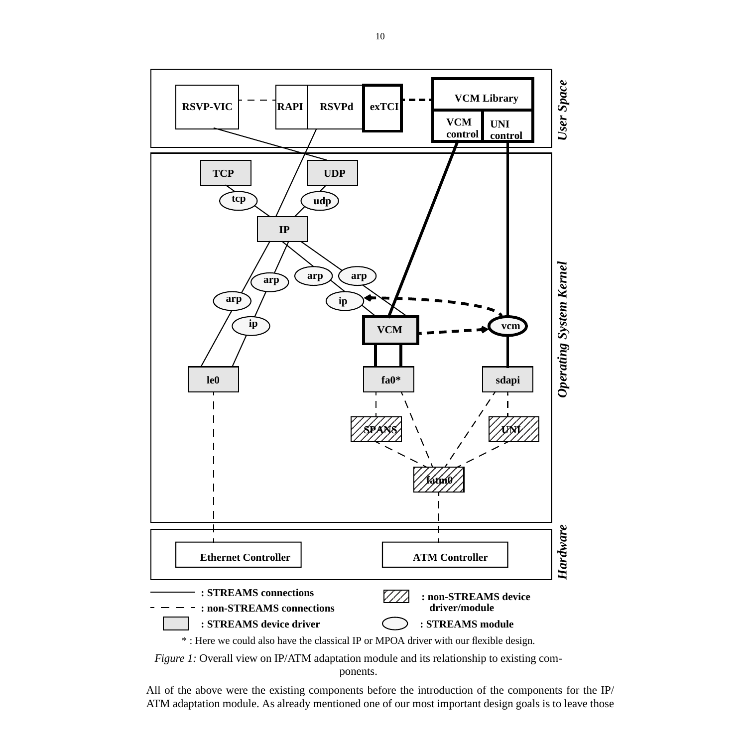



*Figure 1:* Overall view on IP/ATM adaptation module and its relationship to existing components.

All of the above were the existing components before the introduction of the components for the IP/ ATM adaptation module. As already mentioned one of our most important design goals is to leave those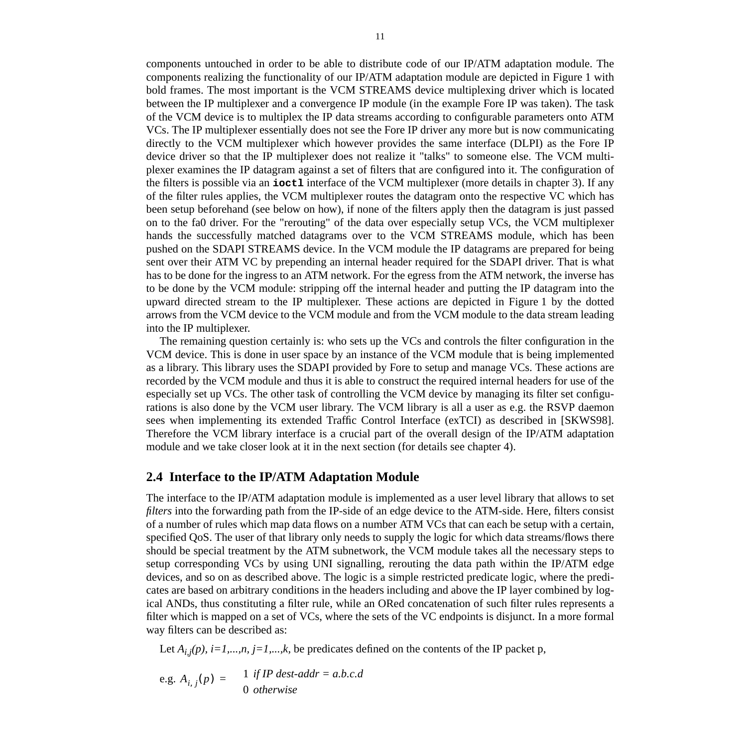between the IP multiplexer and a convergence IP module (in the example Fore IP was taken). The task of the VCM device is to multiplex the IP data streams according to configurable parameters onto ATM VCs. The IP multiplexer essentially does not see the Fore IP driver any more but is now communicating directly to the VCM multiplexer which however provides the same interface (DLPI) as the Fore IP device driver so that the IP multiplexer does not realize it "talks" to someone else. The VCM multiplexer examines the IP datagram against a set of filters that are configured into it. The configuration of the filters is possible via an **ioctl** interface of the VCM multiplexer (more details in chapter 3). If any of the filter rules applies, the VCM multiplexer routes the datagram onto the respective VC which has been setup beforehand (see below on how), if none of the filters apply then the datagram is just passed on to the fa0 driver. For the "rerouting" of the data over especially setup VCs, the VCM multiplexer hands the successfully matched datagrams over to the VCM STREAMS module, which has been pushed on the SDAPI STREAMS device. In the VCM module the IP datagrams are prepared for being sent over their ATM VC by prepending an internal header required for the SDAPI driver. That is what has to be done for the ingress to an ATM network. For the egress from the ATM network, the inverse has to be done by the VCM module: stripping off the internal header and putting the IP datagram into the upward directed stream to the IP multiplexer. These actions are depicted in Figure 1 by the dotted arrows from the VCM device to the VCM module and from the VCM module to the data stream leading into the IP multiplexer.

The remaining question certainly is: who sets up the VCs and controls the filter configuration in the VCM device. This is done in user space by an instance of the VCM module that is being implemented as a library. This library uses the SDAPI provided by Fore to setup and manage VCs. These actions are recorded by the VCM module and thus it is able to construct the required internal headers for use of the especially set up VCs. The other task of controlling the VCM device by managing its filter set configurations is also done by the VCM user library. The VCM library is all a user as e.g. the RSVP daemon sees when implementing its extended Traffic Control Interface (exTCI) as described in [SKWS98]. Therefore the VCM library interface is a crucial part of the overall design of the IP/ATM adaptation module and we take closer look at it in the next section (for details see chapter 4).

# **2.4 Interface to the IP/ATM Adaptation Module**

The interface to the IP/ATM adaptation module is implemented as a user level library that allows to set *filters* into the forwarding path from the IP-side of an edge device to the ATM-side. Here, filters consist of a number of rules which map data flows on a number ATM VCs that can each be setup with a certain, specified QoS. The user of that library only needs to supply the logic for which data streams/flows there should be special treatment by the ATM subnetwork, the VCM module takes all the necessary steps to setup corresponding VCs by using UNI signalling, rerouting the data path within the IP/ATM edge devices, and so on as described above. The logic is a simple restricted predicate logic, where the predicates are based on arbitrary conditions in the headers including and above the IP layer combined by logical ANDs, thus constituting a filter rule, while an ORed concatenation of such filter rules represents a filter which is mapped on a set of VCs, where the sets of the VC endpoints is disjunct. In a more formal way filters can be described as:

Let  $A_{i,j}(p)$ ,  $i=1,...,n$ ,  $j=1,...,k$ , be predicates defined on the contents of the IP packet p,

e.g. 
$$
A_{i,j}(p) = \begin{cases} 1 & \text{if IP dest-addr} = a.b.c.d \\ 0 & \text{otherwise} \end{cases}
$$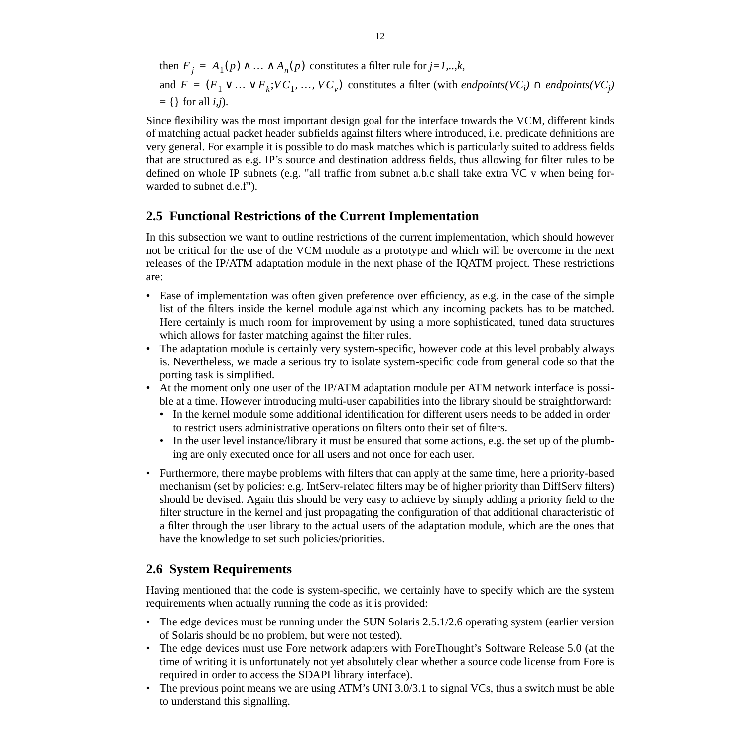then  $F_j = A_1(p) \land ... \land A_n(p)$  constitutes a filter rule for  $j=1,..,k$ , and  $F = (F_1 \vee ... \vee F_k; VC_1, ..., VC_v)$  constitutes a filter (with *endpoints(VC<sub>i</sub>*)  $\cap$  *endpoints(VC<sub>j</sub>*)  $= \{\}\$ for all *i,j*).

Since flexibility was the most important design goal for the interface towards the VCM, different kinds of matching actual packet header subfields against filters where introduced, i.e. predicate definitions are very general. For example it is possible to do mask matches which is particularly suited to address fields that are structured as e.g. IP's source and destination address fields, thus allowing for filter rules to be defined on whole IP subnets (e.g. "all traffic from subnet a.b.c shall take extra VC v when being forwarded to subnet d.e.f").

## **2.5 Functional Restrictions of the Current Implementation**

In this subsection we want to outline restrictions of the current implementation, which should however not be critical for the use of the VCM module as a prototype and which will be overcome in the next releases of the IP/ATM adaptation module in the next phase of the IQATM project. These restrictions are:

- Ease of implementation was often given preference over efficiency, as e.g. in the case of the simple list of the filters inside the kernel module against which any incoming packets has to be matched. Here certainly is much room for improvement by using a more sophisticated, tuned data structures which allows for faster matching against the filter rules.
- The adaptation module is certainly very system-specific, however code at this level probably always is. Nevertheless, we made a serious try to isolate system-specific code from general code so that the porting task is simplified.
- At the moment only one user of the IP/ATM adaptation module per ATM network interface is possible at a time. However introducing multi-user capabilities into the library should be straightforward:
	- In the kernel module some additional identification for different users needs to be added in order to restrict users administrative operations on filters onto their set of filters.
	- In the user level instance/library it must be ensured that some actions, e.g. the set up of the plumbing are only executed once for all users and not once for each user.
- Furthermore, there maybe problems with filters that can apply at the same time, here a priority-based mechanism (set by policies: e.g. IntServ-related filters may be of higher priority than DiffServ filters) should be devised. Again this should be very easy to achieve by simply adding a priority field to the filter structure in the kernel and just propagating the configuration of that additional characteristic of a filter through the user library to the actual users of the adaptation module, which are the ones that have the knowledge to set such policies/priorities.

# **2.6 System Requirements**

Having mentioned that the code is system-specific, we certainly have to specify which are the system requirements when actually running the code as it is provided:

- The edge devices must be running under the SUN Solaris 2.5.1/2.6 operating system (earlier version of Solaris should be no problem, but were not tested).
- The edge devices must use Fore network adapters with ForeThought's Software Release 5.0 (at the time of writing it is unfortunately not yet absolutely clear whether a source code license from Fore is required in order to access the SDAPI library interface).
- The previous point means we are using ATM's UNI 3.0/3.1 to signal VCs, thus a switch must be able to understand this signalling.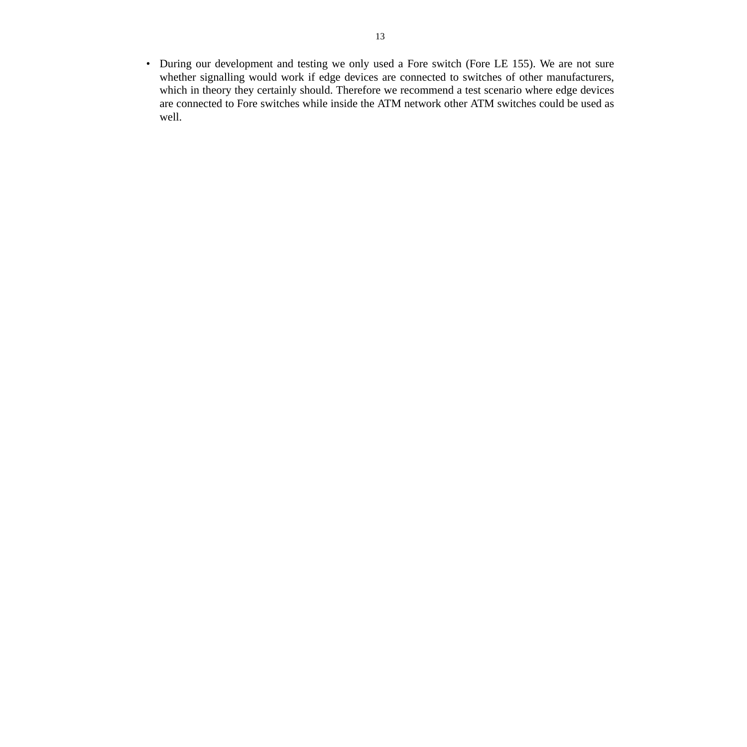• During our development and testing we only used a Fore switch (Fore LE 155). We are not sure whether signalling would work if edge devices are connected to switches of other manufacturers, which in theory they certainly should. Therefore we recommend a test scenario where edge devices are connected to Fore switches while inside the ATM network other ATM switches could be used as well.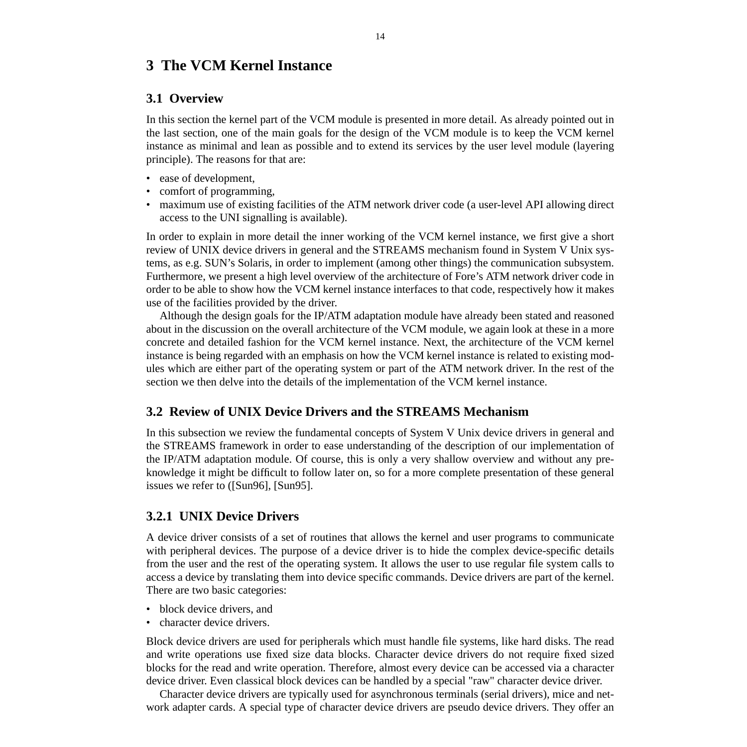# **3 The VCM Kernel Instance**

## **3.1 Overview**

In this section the kernel part of the VCM module is presented in more detail. As already pointed out in the last section, one of the main goals for the design of the VCM module is to keep the VCM kernel instance as minimal and lean as possible and to extend its services by the user level module (layering principle). The reasons for that are:

- ease of development,
- comfort of programming,
- maximum use of existing facilities of the ATM network driver code (a user-level API allowing direct access to the UNI signalling is available).

In order to explain in more detail the inner working of the VCM kernel instance, we first give a short review of UNIX device drivers in general and the STREAMS mechanism found in System V Unix systems, as e.g. SUN's Solaris, in order to implement (among other things) the communication subsystem. Furthermore, we present a high level overview of the architecture of Fore's ATM network driver code in order to be able to show how the VCM kernel instance interfaces to that code, respectively how it makes use of the facilities provided by the driver.

Although the design goals for the IP/ATM adaptation module have already been stated and reasoned about in the discussion on the overall architecture of the VCM module, we again look at these in a more concrete and detailed fashion for the VCM kernel instance. Next, the architecture of the VCM kernel instance is being regarded with an emphasis on how the VCM kernel instance is related to existing modules which are either part of the operating system or part of the ATM network driver. In the rest of the section we then delve into the details of the implementation of the VCM kernel instance.

# **3.2 Review of UNIX Device Drivers and the STREAMS Mechanism**

In this subsection we review the fundamental concepts of System V Unix device drivers in general and the STREAMS framework in order to ease understanding of the description of our implementation of the IP/ATM adaptation module. Of course, this is only a very shallow overview and without any preknowledge it might be difficult to follow later on, so for a more complete presentation of these general issues we refer to ([Sun96], [Sun95].

# **3.2.1 UNIX Device Drivers**

A device driver consists of a set of routines that allows the kernel and user programs to communicate with peripheral devices. The purpose of a device driver is to hide the complex device-specific details from the user and the rest of the operating system. It allows the user to use regular file system calls to access a device by translating them into device specific commands. Device drivers are part of the kernel. There are two basic categories:

- block device drivers, and
- character device drivers.

Block device drivers are used for peripherals which must handle file systems, like hard disks. The read and write operations use fixed size data blocks. Character device drivers do not require fixed sized blocks for the read and write operation. Therefore, almost every device can be accessed via a character device driver. Even classical block devices can be handled by a special "raw" character device driver.

Character device drivers are typically used for asynchronous terminals (serial drivers), mice and network adapter cards. A special type of character device drivers are pseudo device drivers. They offer an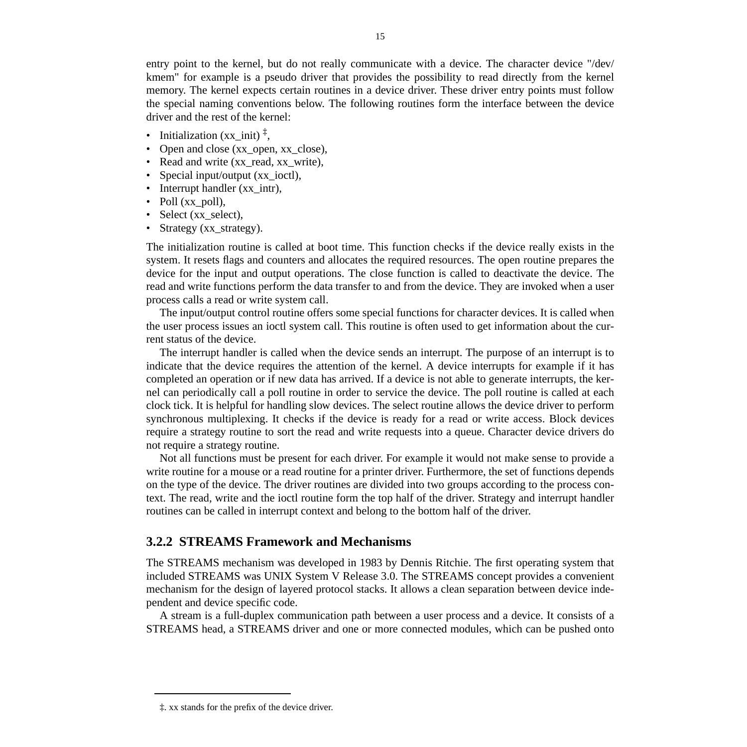entry point to the kernel, but do not really communicate with a device. The character device "/dev/ kmem" for example is a pseudo driver that provides the possibility to read directly from the kernel memory. The kernel expects certain routines in a device driver. These driver entry points must follow the special naming conventions below. The following routines form the interface between the device driver and the rest of the kernel:

- Initialization (xx\_init)  $\frac{1}{4}$ ,
- Open and close (xx\_open, xx\_close),
- Read and write (xx read, xx write),
- Special input/output (xx\_ioctl),
- Interrupt handler (xx\_intr),
- Poll (xx\_poll),
- Select (xx\_select),
- Strategy (xx\_strategy).

The initialization routine is called at boot time. This function checks if the device really exists in the system. It resets flags and counters and allocates the required resources. The open routine prepares the device for the input and output operations. The close function is called to deactivate the device. The read and write functions perform the data transfer to and from the device. They are invoked when a user process calls a read or write system call.

The input/output control routine offers some special functions for character devices. It is called when the user process issues an ioctl system call. This routine is often used to get information about the current status of the device.

The interrupt handler is called when the device sends an interrupt. The purpose of an interrupt is to indicate that the device requires the attention of the kernel. A device interrupts for example if it has completed an operation or if new data has arrived. If a device is not able to generate interrupts, the kernel can periodically call a poll routine in order to service the device. The poll routine is called at each clock tick. It is helpful for handling slow devices. The select routine allows the device driver to perform synchronous multiplexing. It checks if the device is ready for a read or write access. Block devices require a strategy routine to sort the read and write requests into a queue. Character device drivers do not require a strategy routine.

Not all functions must be present for each driver. For example it would not make sense to provide a write routine for a mouse or a read routine for a printer driver. Furthermore, the set of functions depends on the type of the device. The driver routines are divided into two groups according to the process context. The read, write and the ioctl routine form the top half of the driver. Strategy and interrupt handler routines can be called in interrupt context and belong to the bottom half of the driver.

## **3.2.2 STREAMS Framework and Mechanisms**

The STREAMS mechanism was developed in 1983 by Dennis Ritchie. The first operating system that included STREAMS was UNIX System V Release 3.0. The STREAMS concept provides a convenient mechanism for the design of layered protocol stacks. It allows a clean separation between device independent and device specific code.

A stream is a full-duplex communication path between a user process and a device. It consists of a STREAMS head, a STREAMS driver and one or more connected modules, which can be pushed onto

<sup>‡.</sup> xx stands for the prefix of the device driver.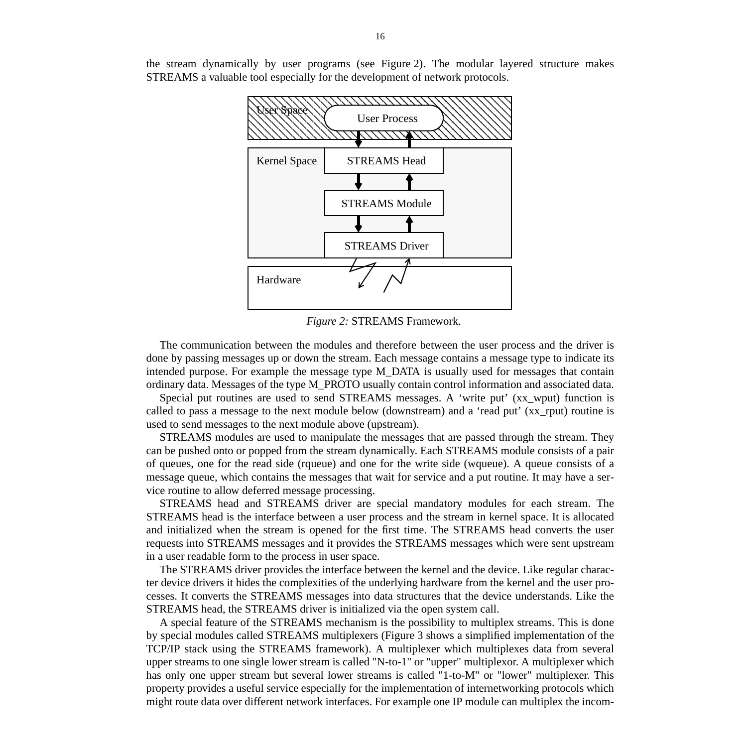the stream dynamically by user programs (see Figure 2). The modular layered structure makes STREAMS a valuable tool especially for the development of network protocols.



*Figure 2:* STREAMS Framework.

The communication between the modules and therefore between the user process and the driver is done by passing messages up or down the stream. Each message contains a message type to indicate its intended purpose. For example the message type M\_DATA is usually used for messages that contain ordinary data. Messages of the type M\_PROTO usually contain control information and associated data.

Special put routines are used to send STREAMS messages. A 'write put' (xx\_wput) function is called to pass a message to the next module below (downstream) and a 'read put' (xx\_rput) routine is used to send messages to the next module above (upstream).

STREAMS modules are used to manipulate the messages that are passed through the stream. They can be pushed onto or popped from the stream dynamically. Each STREAMS module consists of a pair of queues, one for the read side (rqueue) and one for the write side (wqueue). A queue consists of a message queue, which contains the messages that wait for service and a put routine. It may have a service routine to allow deferred message processing.

STREAMS head and STREAMS driver are special mandatory modules for each stream. The STREAMS head is the interface between a user process and the stream in kernel space. It is allocated and initialized when the stream is opened for the first time. The STREAMS head converts the user requests into STREAMS messages and it provides the STREAMS messages which were sent upstream in a user readable form to the process in user space.

The STREAMS driver provides the interface between the kernel and the device. Like regular character device drivers it hides the complexities of the underlying hardware from the kernel and the user processes. It converts the STREAMS messages into data structures that the device understands. Like the STREAMS head, the STREAMS driver is initialized via the open system call.

A special feature of the STREAMS mechanism is the possibility to multiplex streams. This is done by special modules called STREAMS multiplexers (Figure 3 shows a simplified implementation of the TCP/IP stack using the STREAMS framework). A multiplexer which multiplexes data from several upper streams to one single lower stream is called "N-to-1" or "upper" multiplexor. A multiplexer which has only one upper stream but several lower streams is called "1-to-M" or "lower" multiplexer. This property provides a useful service especially for the implementation of internetworking protocols which might route data over different network interfaces. For example one IP module can multiplex the incom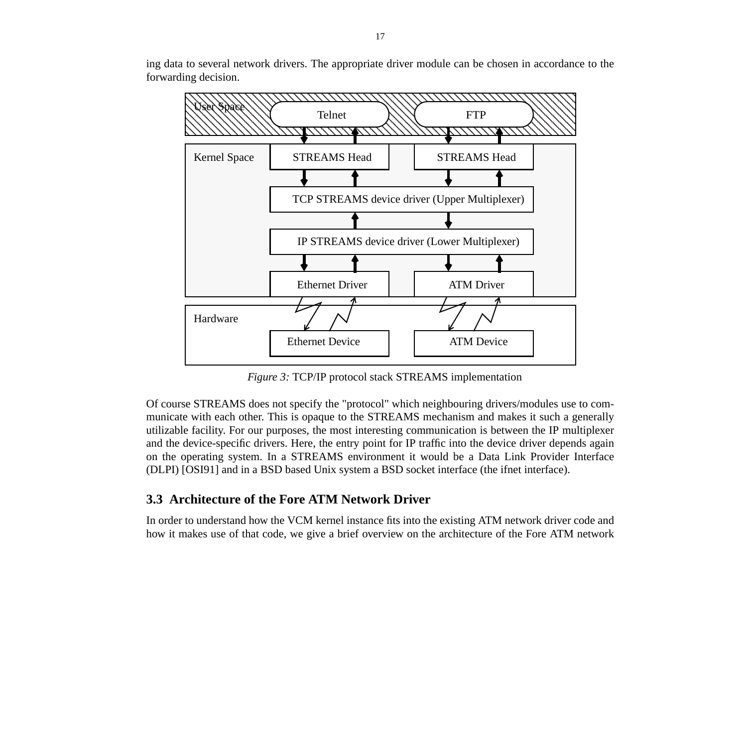ing data to several network drivers. The appropriate driver module can be chosen in accordance to the forwarding decision.



*Figure 3:* TCP/IP protocol stack STREAMS implementation

Of course STREAMS does not specify the "protocol" which neighbouring drivers/modules use to communicate with each other. This is opaque to the STREAMS mechanism and makes it such a generally utilizable facility. For our purposes, the most interesting communication is between the IP multiplexer and the device-specific drivers. Here, the entry point for IP traffic into the device driver depends again on the operating system. In a STREAMS environment it would be a Data Link Provider Interface (DLPI) [OSI91] and in a BSD based Unix system a BSD socket interface (the ifnet interface).

## **3.3 Architecture of the Fore ATM Network Driver**

In order to understand how the VCM kernel instance fits into the existing ATM network driver code and how it makes use of that code, we give a brief overview on the architecture of the Fore ATM network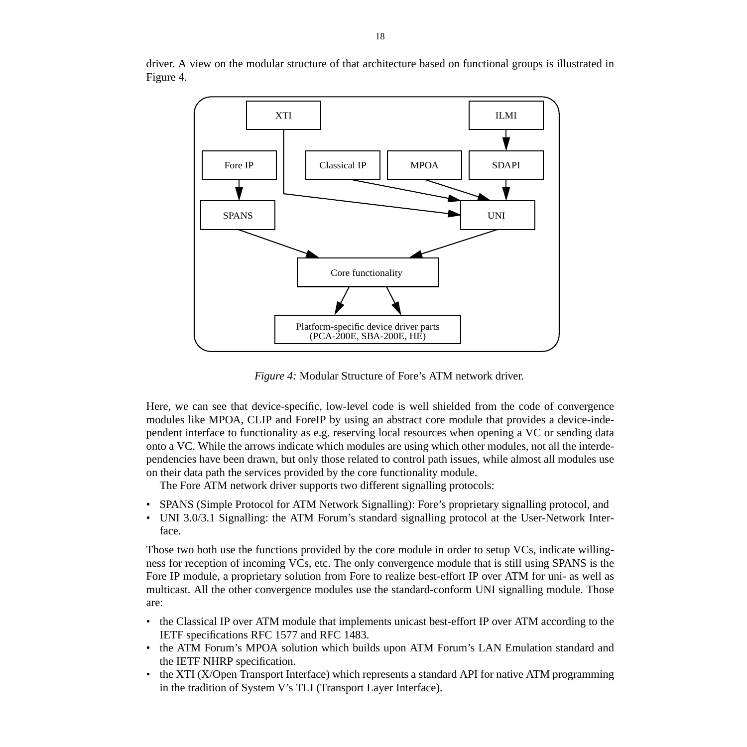

driver. A view on the modular structure of that architecture based on functional groups is illustrated in Figure 4.

*Figure 4:* Modular Structure of Fore's ATM network driver.

Here, we can see that device-specific, low-level code is well shielded from the code of convergence modules like MPOA, CLIP and ForeIP by using an abstract core module that provides a device-independent interface to functionality as e.g. reserving local resources when opening a VC or sending data onto a VC. While the arrows indicate which modules are using which other modules, not all the interdependencies have been drawn, but only those related to control path issues, while almost all modules use on their data path the services provided by the core functionality module.

The Fore ATM network driver supports two different signalling protocols:

- SPANS (Simple Protocol for ATM Network Signalling): Fore's proprietary signalling protocol, and
- UNI 3.0/3.1 Signalling: the ATM Forum's standard signalling protocol at the User-Network Interface.

Those two both use the functions provided by the core module in order to setup VCs, indicate willingness for reception of incoming VCs, etc. The only convergence module that is still using SPANS is the Fore IP module, a proprietary solution from Fore to realize best-effort IP over ATM for uni- as well as multicast. All the other convergence modules use the standard-conform UNI signalling module. Those are:

- the Classical IP over ATM module that implements unicast best-effort IP over ATM according to the IETF specifications RFC 1577 and RFC 1483.
- the ATM Forum's MPOA solution which builds upon ATM Forum's LAN Emulation standard and the IETF NHRP specification.
- the XTI (X/Open Transport Interface) which represents a standard API for native ATM programming in the tradition of System V's TLI (Transport Layer Interface).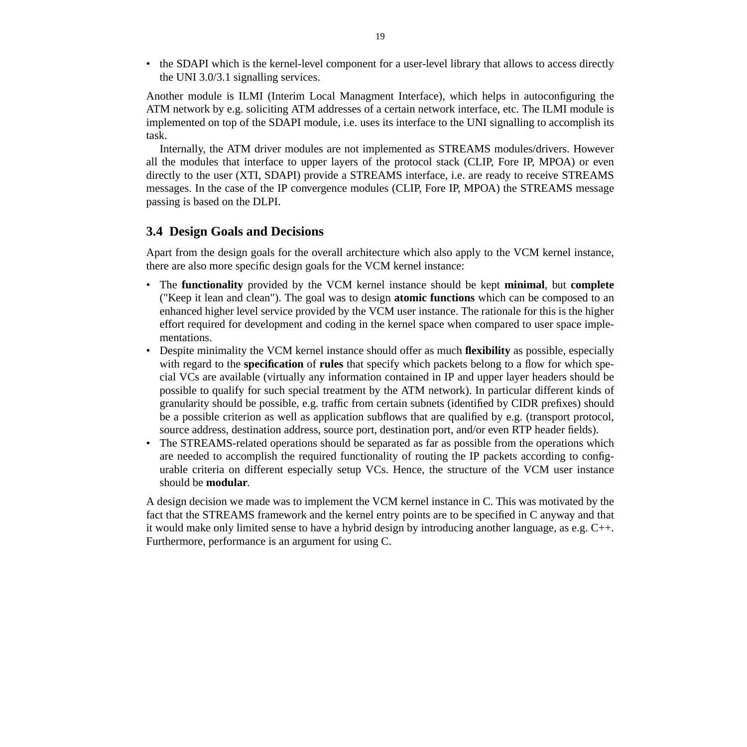• the SDAPI which is the kernel-level component for a user-level library that allows to access directly the UNI 3.0/3.1 signalling services.

Another module is ILMI (Interim Local Managment Interface), which helps in autoconfiguring the ATM network by e.g. soliciting ATM addresses of a certain network interface, etc. The ILMI module is implemented on top of the SDAPI module, i.e. uses its interface to the UNI signalling to accomplish its task.

Internally, the ATM driver modules are not implemented as STREAMS modules/drivers. However all the modules that interface to upper layers of the protocol stack (CLIP, Fore IP, MPOA) or even directly to the user (XTI, SDAPI) provide a STREAMS interface, i.e. are ready to receive STREAMS messages. In the case of the IP convergence modules (CLIP, Fore IP, MPOA) the STREAMS message passing is based on the DLPI.

## **3.4 Design Goals and Decisions**

Apart from the design goals for the overall architecture which also apply to the VCM kernel instance, there are also more specific design goals for the VCM kernel instance:

- The **functionality** provided by the VCM kernel instance should be kept **minimal**, but **complete** ("Keep it lean and clean"). The goal was to design **atomic functions** which can be composed to an enhanced higher level service provided by the VCM user instance. The rationale for this is the higher effort required for development and coding in the kernel space when compared to user space implementations.
- Despite minimality the VCM kernel instance should offer as much **flexibility** as possible, especially with regard to the **specification** of **rules** that specify which packets belong to a flow for which special VCs are available (virtually any information contained in IP and upper layer headers should be possible to qualify for such special treatment by the ATM network). In particular different kinds of granularity should be possible, e.g. traffic from certain subnets (identified by CIDR prefixes) should be a possible criterion as well as application subflows that are qualified by e.g. (transport protocol, source address, destination address, source port, destination port, and/or even RTP header fields).
- The STREAMS-related operations should be separated as far as possible from the operations which are needed to accomplish the required functionality of routing the IP packets according to configurable criteria on different especially setup VCs. Hence, the structure of the VCM user instance should be **modular**.

A design decision we made was to implement the VCM kernel instance in C. This was motivated by the fact that the STREAMS framework and the kernel entry points are to be specified in C anyway and that it would make only limited sense to have a hybrid design by introducing another language, as e.g. C++. Furthermore, performance is an argument for using C.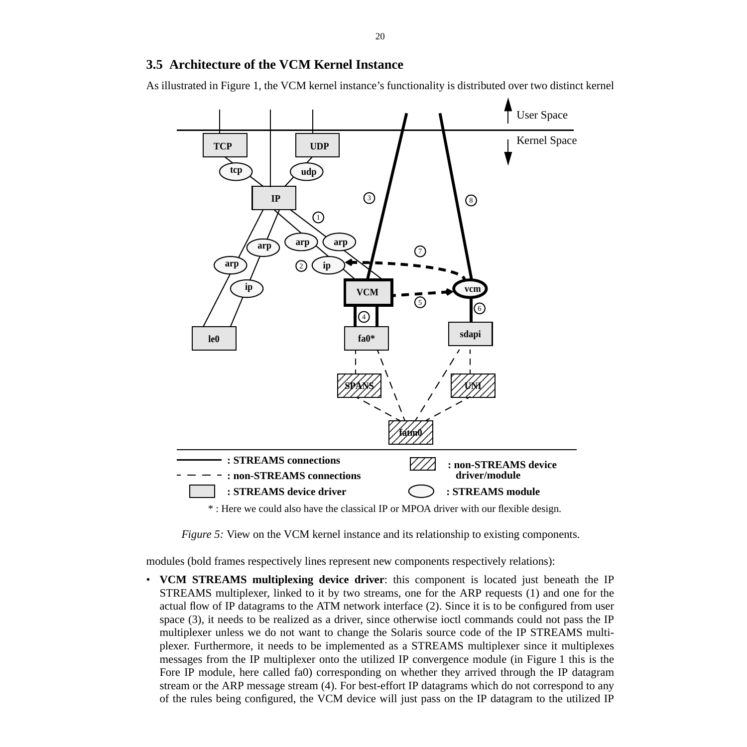## **3.5 Architecture of the VCM Kernel Instance**

As illustrated in Figure 1, the VCM kernel instance's functionality is distributed over two distinct kernel



\* : Here we could also have the classical IP or MPOA driver with our flexible design.

*Figure 5:* View on the VCM kernel instance and its relationship to existing components.

modules (bold frames respectively lines represent new components respectively relations):

• **VCM STREAMS multiplexing device driver**: this component is located just beneath the IP STREAMS multiplexer, linked to it by two streams, one for the ARP requests (1) and one for the actual flow of IP datagrams to the ATM network interface (2). Since it is to be configured from user space (3), it needs to be realized as a driver, since otherwise ioctl commands could not pass the IP multiplexer unless we do not want to change the Solaris source code of the IP STREAMS multiplexer. Furthermore, it needs to be implemented as a STREAMS multiplexer since it multiplexes messages from the IP multiplexer onto the utilized IP convergence module (in Figure 1 this is the Fore IP module, here called fa0) corresponding on whether they arrived through the IP datagram stream or the ARP message stream (4). For best-effort IP datagrams which do not correspond to any of the rules being configured, the VCM device will just pass on the IP datagram to the utilized IP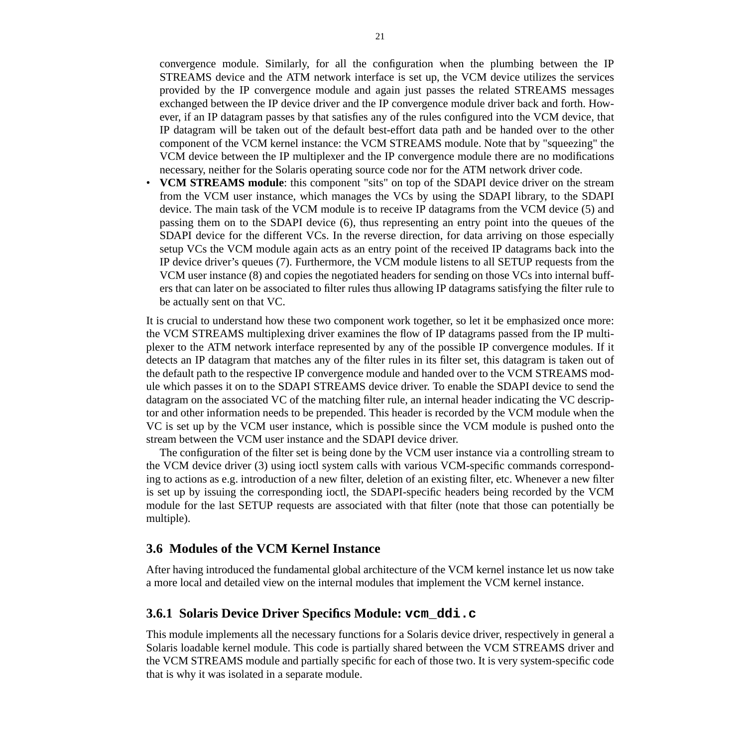convergence module. Similarly, for all the configuration when the plumbing between the IP STREAMS device and the ATM network interface is set up, the VCM device utilizes the services provided by the IP convergence module and again just passes the related STREAMS messages exchanged between the IP device driver and the IP convergence module driver back and forth. However, if an IP datagram passes by that satisfies any of the rules configured into the VCM device, that IP datagram will be taken out of the default best-effort data path and be handed over to the other component of the VCM kernel instance: the VCM STREAMS module. Note that by "squeezing" the VCM device between the IP multiplexer and the IP convergence module there are no modifications necessary, neither for the Solaris operating source code nor for the ATM network driver code.

• **VCM STREAMS module**: this component "sits" on top of the SDAPI device driver on the stream from the VCM user instance, which manages the VCs by using the SDAPI library, to the SDAPI device. The main task of the VCM module is to receive IP datagrams from the VCM device (5) and passing them on to the SDAPI device (6), thus representing an entry point into the queues of the SDAPI device for the different VCs. In the reverse direction, for data arriving on those especially setup VCs the VCM module again acts as an entry point of the received IP datagrams back into the IP device driver's queues (7). Furthermore, the VCM module listens to all SETUP requests from the VCM user instance (8) and copies the negotiated headers for sending on those VCs into internal buffers that can later on be associated to filter rules thus allowing IP datagrams satisfying the filter rule to be actually sent on that VC.

It is crucial to understand how these two component work together, so let it be emphasized once more: the VCM STREAMS multiplexing driver examines the flow of IP datagrams passed from the IP multiplexer to the ATM network interface represented by any of the possible IP convergence modules. If it detects an IP datagram that matches any of the filter rules in its filter set, this datagram is taken out of the default path to the respective IP convergence module and handed over to the VCM STREAMS module which passes it on to the SDAPI STREAMS device driver. To enable the SDAPI device to send the datagram on the associated VC of the matching filter rule, an internal header indicating the VC descriptor and other information needs to be prepended. This header is recorded by the VCM module when the VC is set up by the VCM user instance, which is possible since the VCM module is pushed onto the stream between the VCM user instance and the SDAPI device driver.

The configuration of the filter set is being done by the VCM user instance via a controlling stream to the VCM device driver (3) using ioctl system calls with various VCM-specific commands corresponding to actions as e.g. introduction of a new filter, deletion of an existing filter, etc. Whenever a new filter is set up by issuing the corresponding ioctl, the SDAPI-specific headers being recorded by the VCM module for the last SETUP requests are associated with that filter (note that those can potentially be multiple).

#### **3.6 Modules of the VCM Kernel Instance**

After having introduced the fundamental global architecture of the VCM kernel instance let us now take a more local and detailed view on the internal modules that implement the VCM kernel instance.

## **3.6.1 Solaris Device Driver Specifics Module: vcm\_ddi.c**

This module implements all the necessary functions for a Solaris device driver, respectively in general a Solaris loadable kernel module. This code is partially shared between the VCM STREAMS driver and the VCM STREAMS module and partially specific for each of those two. It is very system-specific code that is why it was isolated in a separate module.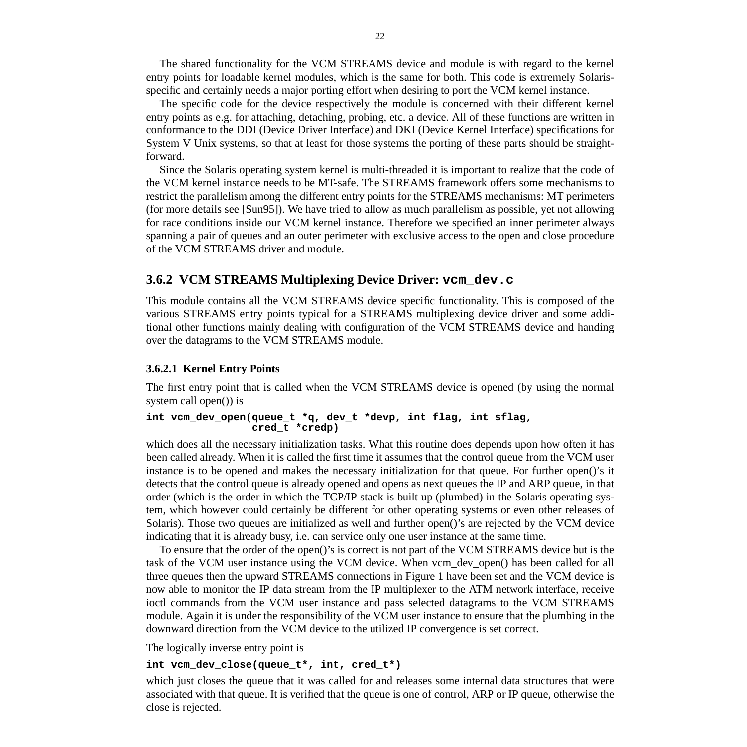<span id="page-22-0"></span>The shared functionality for the VCM STREAMS device and module is with regard to the kernel entry points for loadable kernel modules, which is the same for both. This code is extremely Solarisspecific and certainly needs a major porting effort when desiring to port the VCM kernel instance.

The specific code for the device respectively the module is concerned with their different kernel entry points as e.g. for attaching, detaching, probing, etc. a device. All of these functions are written in conformance to the DDI (Device Driver Interface) and DKI (Device Kernel Interface) specifications for System V Unix systems, so that at least for those systems the porting of these parts should be straightforward.

Since the Solaris operating system kernel is multi-threaded it is important to realize that the code of the VCM kernel instance needs to be MT-safe. The STREAMS framework offers some mechanisms to restrict the parallelism among the different entry points for the STREAMS mechanisms: MT perimeters (for more details see [Sun95]). We have tried to allow as much parallelism as possible, yet not allowing for race conditions inside our VCM kernel instance. Therefore we specified an inner perimeter always spanning a pair of queues and an outer perimeter with exclusive access to the open and close procedure of the VCM STREAMS driver and module.

# **3.6.2 VCM STREAMS Multiplexing Device Driver: vcm\_dev.c**

This module contains all the VCM STREAMS device specific functionality. This is composed of the various STREAMS entry points typical for a STREAMS multiplexing device driver and some additional other functions mainly dealing with configuration of the VCM STREAMS device and handing over the datagrams to the VCM STREAMS module.

#### **3.6.2.1 Kernel Entry Points**

The first entry point that is called when the VCM STREAMS device is opened (by using the normal system call open()) is

#### **int vcm\_dev\_open(queue\_t \*q, dev\_t \*devp, int flag, int sflag, cred\_t \*credp)**

which does all the necessary initialization tasks. What this routine does depends upon how often it has been called already. When it is called the first time it assumes that the control queue from the VCM user instance is to be opened and makes the necessary initialization for that queue. For further open()'s it detects that the control queue is already opened and opens as next queues the IP and ARP queue, in that order (which is the order in which the TCP/IP stack is built up (plumbed) in the Solaris operating system, which however could certainly be different for other operating systems or even other releases of Solaris). Those two queues are initialized as well and further open()'s are rejected by the VCM device indicating that it is already busy, i.e. can service only one user instance at the same time.

To ensure that the order of the open()'s is correct is not part of the VCM STREAMS device but is the task of the VCM user instance using the VCM device. When vcm\_dev\_open() has been called for all three queues then the upward STREAMS connections in Figure 1 have been set and the VCM device is now able to monitor the IP data stream from the IP multiplexer to the ATM network interface, receive ioctl commands from the VCM user instance and pass selected datagrams to the VCM STREAMS module. Again it is under the responsibility of the VCM user instance to ensure that the plumbing in the downward direction from the VCM device to the utilized IP convergence is set correct.

The logically inverse entry point is

#### **int vcm\_dev\_close(queue\_t\*, int, cred\_t\*)**

which just closes the queue that it was called for and releases some internal data structures that were associated with that queue. It is verified that the queue is one of control, ARP or IP queue, otherwise the close is rejected.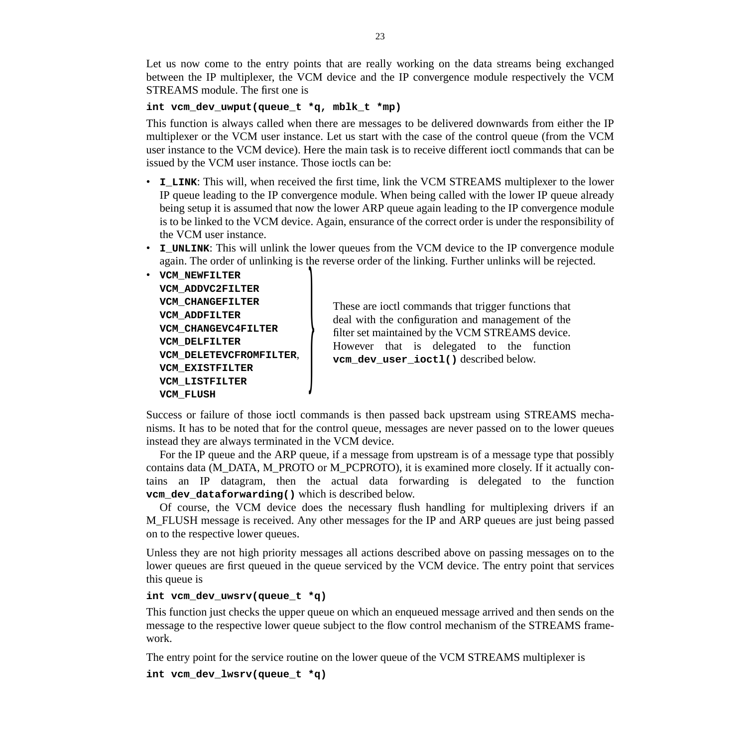Let us now come to the entry points that are really working on the data streams being exchanged between the IP multiplexer, the VCM device and the IP convergence module respectively the VCM STREAMS module. The first one is

#### **int vcm\_dev\_uwput(queue\_t \*q, mblk\_t \*mp)**

This function is always called when there are messages to be delivered downwards from either the IP multiplexer or the VCM user instance. Let us start with the case of the control queue (from the VCM user instance to the VCM device). Here the main task is to receive different ioctl commands that can be issued by the VCM user instance. Those ioctls can be:

- **I\_LINK**: This will, when received the first time, link the VCM STREAMS multiplexer to the lower IP queue leading to the IP convergence module. When being called with the lower IP queue already being setup it is assumed that now the lower ARP queue again leading to the IP convergence module is to be linked to the VCM device. Again, ensurance of the correct order is under the responsibility of the VCM user instance.
- **I\_UNLINK**: This will unlink the lower queues from the VCM device to the IP convergence module again. The order of unlinking is the reverse order of the linking. Further unlinks will be rejected.

• **VCM\_NEWFILTER VCM\_ADDVC2FILTER VCM\_CHANGEFILTER VCM\_ADDFILTER VCM\_CHANGEVC4FILTER VCM\_DELFILTER VCM\_DELETEVCFROMFILTER**, **VCM\_EXISTFILTER VCM\_LISTFILTER**

VCM\_CHANGEFILTER<br>
VCM\_CHANGEVC4FILTER<br>
VCM\_CHANGEVC4FILTER<br>
VCM\_DELFILTER<br>
VCM\_DELFILTER<br>
VCM\_DELETEVCFROMFILTER<br>
VCM\_DELETEVCFROMFILTER<br>
VCM\_EXISTFILTER<br>
VCM\_EXISTFILTER<br>
VCM\_LISTFILTER<br>
VCM\_LISTFILTER<br>
VCM\_LISTFILTER<br>
VC deal with the configuration and management of the filter set maintained by the VCM STREAMS device. However that is delegated to the function vcm dev user ioctl() described below.

Success or failure of those ioctl commands is then passed back upstream using STREAMS mechanisms. It has to be noted that for the control queue, messages are never passed on to the lower queues instead they are always terminated in the VCM device.

For the IP queue and the ARP queue, if a message from upstream is of a message type that possibly contains data (M\_DATA, M\_PROTO or M\_PCPROTO), it is examined more closely. If it actually contains an IP datagram, then the actual data forwarding is delegated to the function **vcm** dev dataforwarding() which is described below.

Of course, the VCM device does the necessary flush handling for multiplexing drivers if an M\_FLUSH message is received. Any other messages for the IP and ARP queues are just being passed on to the respective lower queues.

Unless they are not high priority messages all actions described above on passing messages on to the lower queues are first queued in the queue serviced by the VCM device. The entry point that services this queue is

#### **int vcm\_dev\_uwsrv(queue\_t \*q)**

This function just checks the upper queue on which an enqueued message arrived and then sends on the message to the respective lower queue subject to the flow control mechanism of the STREAMS framework.

The entry point for the service routine on the lower queue of the VCM STREAMS multiplexer is

```
int vcm_dev_lwsrv(queue_t *q)
```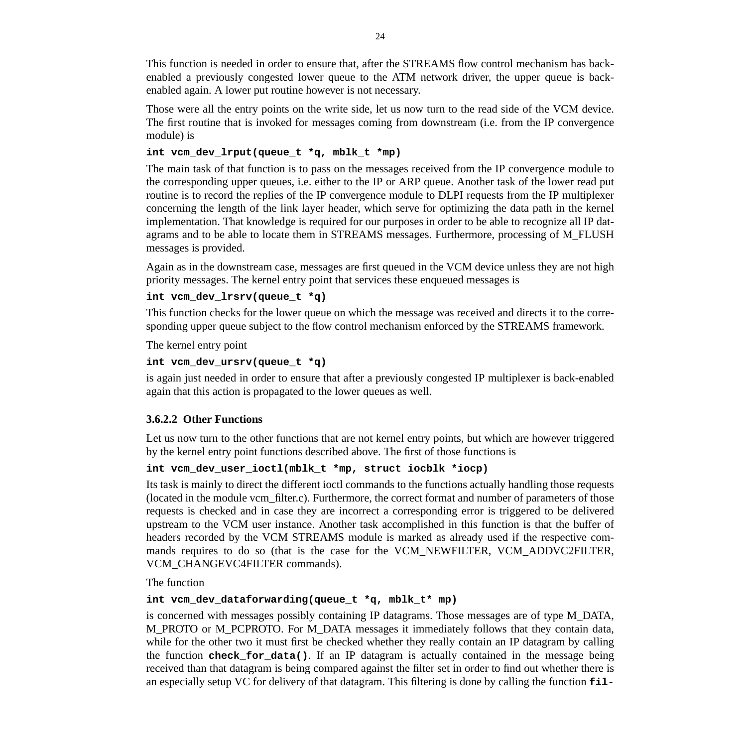This function is needed in order to ensure that, after the STREAMS flow control mechanism has backenabled a previously congested lower queue to the ATM network driver, the upper queue is backenabled again. A lower put routine however is not necessary.

Those were all the entry points on the write side, let us now turn to the read side of the VCM device. The first routine that is invoked for messages coming from downstream (i.e. from the IP convergence module) is

#### **int vcm\_dev\_lrput(queue\_t \*q, mblk\_t \*mp)**

The main task of that function is to pass on the messages received from the IP convergence module to the corresponding upper queues, i.e. either to the IP or ARP queue. Another task of the lower read put routine is to record the replies of the IP convergence module to DLPI requests from the IP multiplexer concerning the length of the link layer header, which serve for optimizing the data path in the kernel implementation. That knowledge is required for our purposes in order to be able to recognize all IP datagrams and to be able to locate them in STREAMS messages. Furthermore, processing of M\_FLUSH messages is provided.

Again as in the downstream case, messages are first queued in the VCM device unless they are not high priority messages. The kernel entry point that services these enqueued messages is

#### **int vcm\_dev\_lrsrv(queue\_t \*q)**

This function checks for the lower queue on which the message was received and directs it to the corresponding upper queue subject to the flow control mechanism enforced by the STREAMS framework.

The kernel entry point

#### **int vcm\_dev\_ursrv(queue\_t \*q)**

is again just needed in order to ensure that after a previously congested IP multiplexer is back-enabled again that this action is propagated to the lower queues as well.

#### **3.6.2.2 Other Functions**

Let us now turn to the other functions that are not kernel entry points, but which are however triggered by the kernel entry point functions described above. The first of those functions is

#### **int vcm\_dev\_user\_ioctl(mblk\_t \*mp, struct iocblk \*iocp)**

Its task is mainly to direct the different ioctl commands to the functions actually handling those requests (located in the module vcm\_filter.c). Furthermore, the correct format and number of parameters of those requests is checked and in case they are incorrect a corresponding error is triggered to be delivered upstream to the VCM user instance. Another task accomplished in this function is that the buffer of headers recorded by the VCM STREAMS module is marked as already used if the respective commands requires to do so (that is the case for the VCM\_NEWFILTER, VCM\_ADDVC2FILTER, VCM\_CHANGEVC4FILTER commands).

The function

#### **int vcm\_dev\_dataforwarding(queue\_t \*q, mblk\_t\* mp)**

is concerned with messages possibly containing IP datagrams. Those messages are of type M\_DATA, M\_PROTO or M\_PCPROTO. For M\_DATA messages it immediately follows that they contain data, while for the other two it must first be checked whether they really contain an IP datagram by calling the function **check\_for\_data()**. If an IP datagram is actually contained in the message being received than that datagram is being compared against the filter set in order to find out whether there is an especially setup VC for delivery of that datagram. This filtering is done by calling the function **fil-**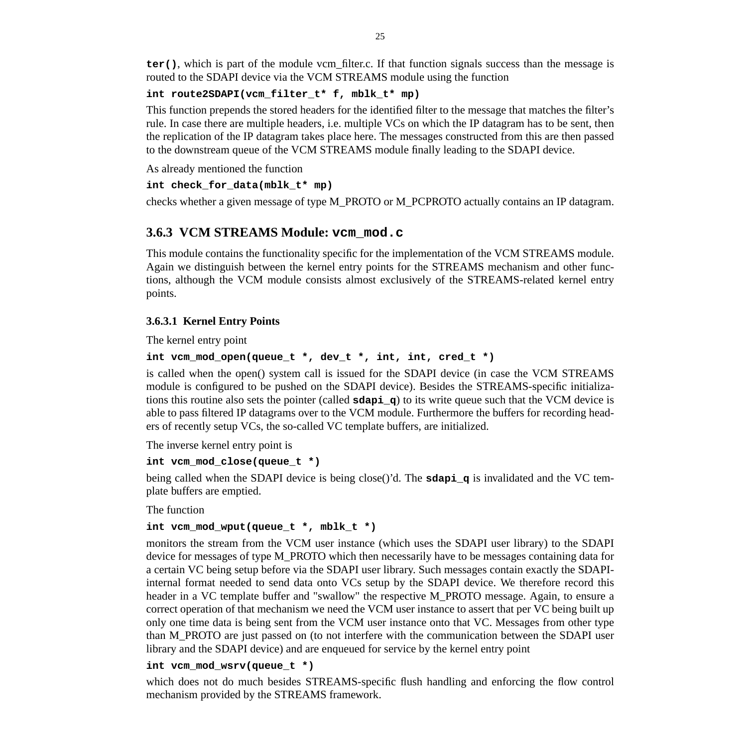**ter()**, which is part of the module vcm filter.c. If that function signals success than the message is routed to the SDAPI device via the VCM STREAMS module using the function

#### **int route2SDAPI(vcm\_filter\_t\* f, mblk\_t\* mp)**

This function prepends the stored headers for the identified filter to the message that matches the filter's rule. In case there are multiple headers, i.e. multiple VCs on which the IP datagram has to be sent, then the replication of the IP datagram takes place here. The messages constructed from this are then passed to the downstream queue of the VCM STREAMS module finally leading to the SDAPI device.

As already mentioned the function

#### **int check\_for\_data(mblk\_t\* mp)**

checks whether a given message of type M\_PROTO or M\_PCPROTO actually contains an IP datagram.

# **3.6.3 VCM STREAMS Module: vcm\_mod.c**

This module contains the functionality specific for the implementation of the VCM STREAMS module. Again we distinguish between the kernel entry points for the STREAMS mechanism and other functions, although the VCM module consists almost exclusively of the STREAMS-related kernel entry points.

## **3.6.3.1 Kernel Entry Points**

The kernel entry point

## **int vcm\_mod\_open(queue\_t \*, dev\_t \*, int, int, cred\_t \*)**

is called when the open() system call is issued for the SDAPI device (in case the VCM STREAMS module is configured to be pushed on the SDAPI device). Besides the STREAMS-specific initializations this routine also sets the pointer (called **sdapi\_q**) to its write queue such that the VCM device is able to pass filtered IP datagrams over to the VCM module. Furthermore the buffers for recording headers of recently setup VCs, the so-called VC template buffers, are initialized.

The inverse kernel entry point is

#### **int vcm\_mod\_close(queue\_t \*)**

being called when the SDAPI device is being close()'d. The **sdapi\_q** is invalidated and the VC template buffers are emptied.

The function

#### **int vcm\_mod\_wput(queue\_t \*, mblk\_t \*)**

monitors the stream from the VCM user instance (which uses the SDAPI user library) to the SDAPI device for messages of type M\_PROTO which then necessarily have to be messages containing data for a certain VC being setup before via the SDAPI user library. Such messages contain exactly the SDAPIinternal format needed to send data onto VCs setup by the SDAPI device. We therefore record this header in a VC template buffer and "swallow" the respective M\_PROTO message. Again, to ensure a correct operation of that mechanism we need the VCM user instance to assert that per VC being built up only one time data is being sent from the VCM user instance onto that VC. Messages from other type than M\_PROTO are just passed on (to not interfere with the communication between the SDAPI user library and the SDAPI device) and are enqueued for service by the kernel entry point

#### **int vcm\_mod\_wsrv(queue\_t \*)**

which does not do much besides STREAMS-specific flush handling and enforcing the flow control mechanism provided by the STREAMS framework.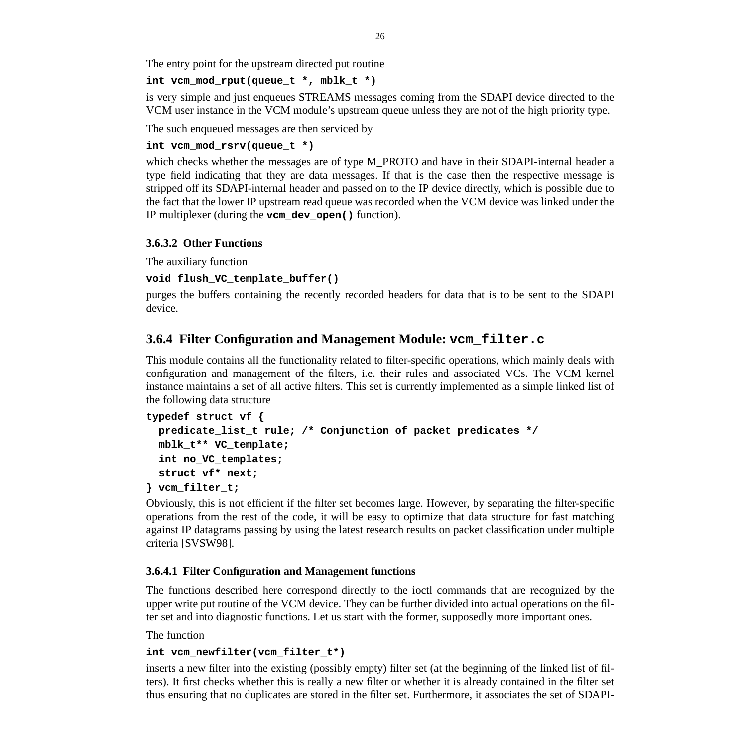The entry point for the upstream directed put routine

## **int vcm\_mod\_rput(queue\_t \*, mblk\_t \*)**

is very simple and just enqueues STREAMS messages coming from the SDAPI device directed to the VCM user instance in the VCM module's upstream queue unless they are not of the high priority type.

The such enqueued messages are then serviced by

## **int vcm\_mod\_rsrv(queue\_t \*)**

which checks whether the messages are of type M\_PROTO and have in their SDAPI-internal header a type field indicating that they are data messages. If that is the case then the respective message is stripped off its SDAPI-internal header and passed on to the IP device directly, which is possible due to the fact that the lower IP upstream read queue was recorded when the VCM device was linked under the IP multiplexer (during the **vcm\_dev\_open()** function).

## **3.6.3.2 Other Functions**

The auxiliary function

## **void flush\_VC\_template\_buffer()**

purges the buffers containing the recently recorded headers for data that is to be sent to the SDAPI device.

# **3.6.4 Filter Configuration and Management Module: vcm\_filter.c**

This module contains all the functionality related to filter-specific operations, which mainly deals with configuration and management of the filters, i.e. their rules and associated VCs. The VCM kernel instance maintains a set of all active filters. This set is currently implemented as a simple linked list of the following data structure

```
typedef struct vf {
   predicate_list_t rule; /* Conjunction of packet predicates */
   mblk_t** VC_template;
   int no_VC_templates;
   struct vf* next;
} vcm_filter_t;
```
Obviously, this is not efficient if the filter set becomes large. However, by separating the filter-specific operations from the rest of the code, it will be easy to optimize that data structure for fast matching against IP datagrams passing by using the latest research results on packet classification under multiple criteria [SVSW98].

## **3.6.4.1 Filter Configuration and Management functions**

The functions described here correspond directly to the ioctl commands that are recognized by the upper write put routine of the VCM device. They can be further divided into actual operations on the filter set and into diagnostic functions. Let us start with the former, supposedly more important ones.

The function

## **int vcm\_newfilter(vcm\_filter\_t\*)**

inserts a new filter into the existing (possibly empty) filter set (at the beginning of the linked list of filters). It first checks whether this is really a new filter or whether it is already contained in the filter set thus ensuring that no duplicates are stored in the filter set. Furthermore, it associates the set of SDAPI-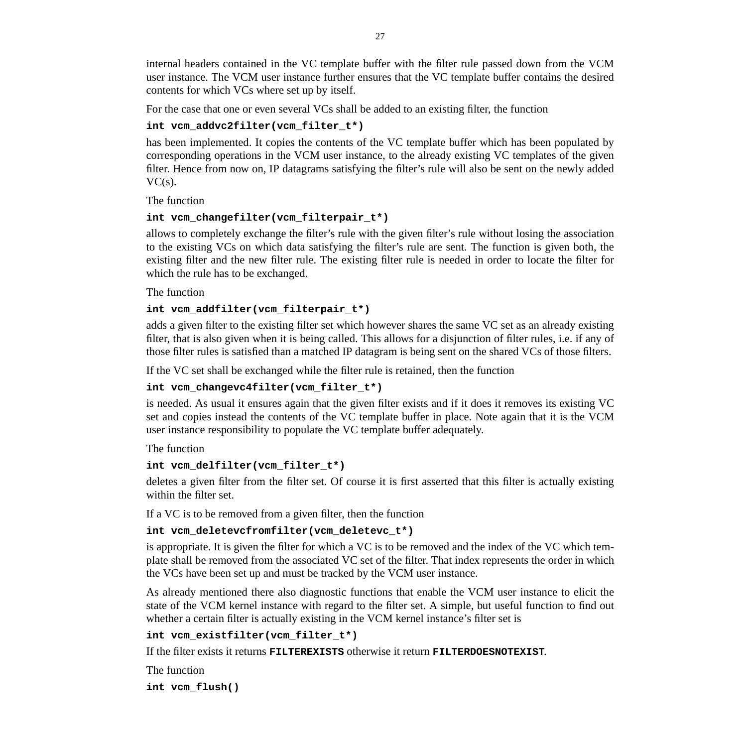internal headers contained in the VC template buffer with the filter rule passed down from the VCM user instance. The VCM user instance further ensures that the VC template buffer contains the desired contents for which VCs where set up by itself.

For the case that one or even several VCs shall be added to an existing filter, the function

## **int vcm\_addvc2filter(vcm\_filter\_t\*)**

has been implemented. It copies the contents of the VC template buffer which has been populated by corresponding operations in the VCM user instance, to the already existing VC templates of the given filter. Hence from now on, IP datagrams satisfying the filter's rule will also be sent on the newly added  $VC(s)$ .

The function

## **int vcm\_changefilter(vcm\_filterpair\_t\*)**

allows to completely exchange the filter's rule with the given filter's rule without losing the association to the existing VCs on which data satisfying the filter's rule are sent. The function is given both, the existing filter and the new filter rule. The existing filter rule is needed in order to locate the filter for which the rule has to be exchanged.

The function

#### **int vcm\_addfilter(vcm\_filterpair\_t\*)**

adds a given filter to the existing filter set which however shares the same VC set as an already existing filter, that is also given when it is being called. This allows for a disjunction of filter rules, i.e. if any of those filter rules is satisfied than a matched IP datagram is being sent on the shared VCs of those filters.

If the VC set shall be exchanged while the filter rule is retained, then the function

#### **int vcm\_changevc4filter(vcm\_filter\_t\*)**

is needed. As usual it ensures again that the given filter exists and if it does it removes its existing VC set and copies instead the contents of the VC template buffer in place. Note again that it is the VCM user instance responsibility to populate the VC template buffer adequately.

The function

#### **int vcm\_delfilter(vcm\_filter\_t\*)**

deletes a given filter from the filter set. Of course it is first asserted that this filter is actually existing within the filter set.

If a VC is to be removed from a given filter, then the function

#### **int vcm\_deletevcfromfilter(vcm\_deletevc\_t\*)**

is appropriate. It is given the filter for which a VC is to be removed and the index of the VC which template shall be removed from the associated VC set of the filter. That index represents the order in which the VCs have been set up and must be tracked by the VCM user instance.

As already mentioned there also diagnostic functions that enable the VCM user instance to elicit the state of the VCM kernel instance with regard to the filter set. A simple, but useful function to find out whether a certain filter is actually existing in the VCM kernel instance's filter set is

#### **int vcm\_existfilter(vcm\_filter\_t\*)**

If the filter exists it returns **FILTEREXISTS** otherwise it return **FILTERDOESNOTEXIST**.

The function **int vcm\_flush()**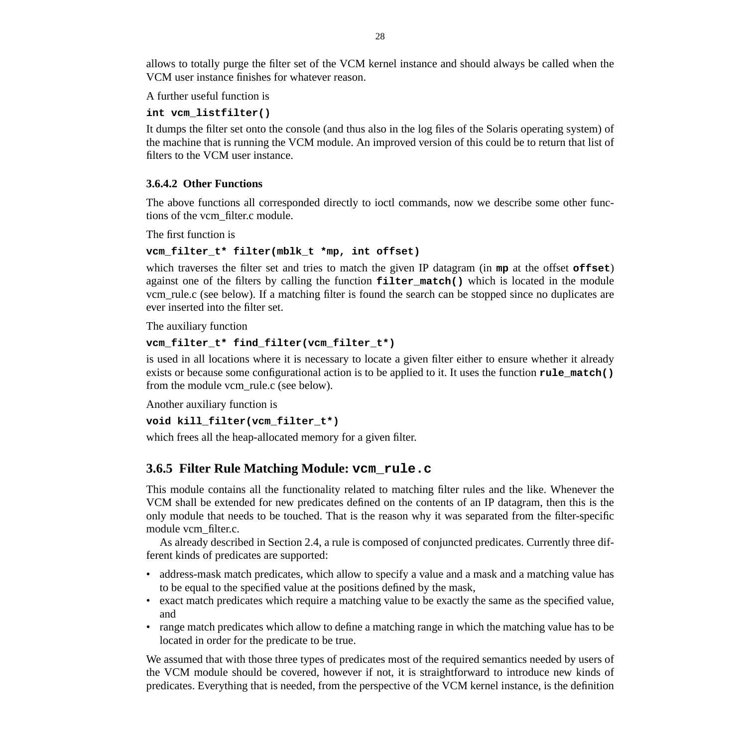allows to totally purge the filter set of the VCM kernel instance and should always be called when the VCM user instance finishes for whatever reason.

A further useful function is

#### **int vcm\_listfilter()**

It dumps the filter set onto the console (and thus also in the log files of the Solaris operating system) of the machine that is running the VCM module. An improved version of this could be to return that list of filters to the VCM user instance.

#### **3.6.4.2 Other Functions**

The above functions all corresponded directly to ioctl commands, now we describe some other functions of the vcm\_filter.c module.

The first function is

#### **vcm\_filter\_t\* filter(mblk\_t \*mp, int offset)**

which traverses the filter set and tries to match the given IP datagram (in **mp** at the offset **offset**) against one of the filters by calling the function **filter match()** which is located in the module vcm\_rule.c (see below). If a matching filter is found the search can be stopped since no duplicates are ever inserted into the filter set.

The auxiliary function

#### **vcm\_filter\_t\* find\_filter(vcm\_filter\_t\*)**

is used in all locations where it is necessary to locate a given filter either to ensure whether it already exists or because some configurational action is to be applied to it. It uses the function **rule\_match()** from the module vcm\_rule.c (see below).

Another auxiliary function is

```
void kill_filter(vcm_filter_t*)
```
which frees all the heap-allocated memory for a given filter.

## **3.6.5 Filter Rule Matching Module: vcm\_rule.c**

This module contains all the functionality related to matching filter rules and the like. Whenever the VCM shall be extended for new predicates defined on the contents of an IP datagram, then this is the only module that needs to be touched. That is the reason why it was separated from the filter-specific module vcm\_filter.c.

As already described in Section 2.4, a rule is composed of conjuncted predicates. Currently three different kinds of predicates are supported:

- address-mask match predicates, which allow to specify a value and a mask and a matching value has to be equal to the specified value at the positions defined by the mask,
- exact match predicates which require a matching value to be exactly the same as the specified value, and
- range match predicates which allow to define a matching range in which the matching value has to be located in order for the predicate to be true.

We assumed that with those three types of predicates most of the required semantics needed by users of the VCM module should be covered, however if not, it is straightforward to introduce new kinds of predicates. Everything that is needed, from the perspective of the VCM kernel instance, is the definition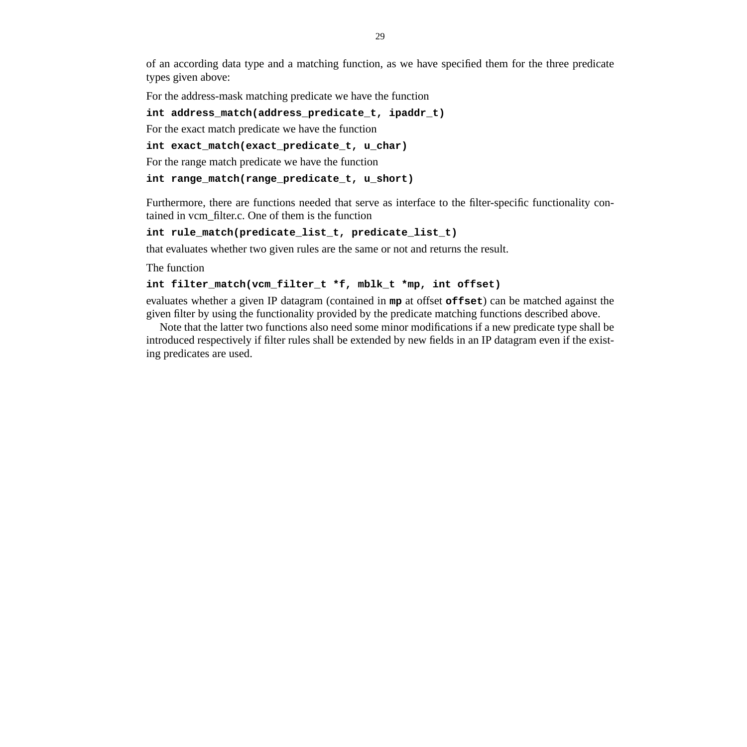of an according data type and a matching function, as we have specified them for the three predicate types given above:

For the address-mask matching predicate we have the function

#### **int address\_match(address\_predicate\_t, ipaddr\_t)**

For the exact match predicate we have the function

**int exact\_match(exact\_predicate\_t, u\_char)**

For the range match predicate we have the function

#### **int range\_match(range\_predicate\_t, u\_short)**

Furthermore, there are functions needed that serve as interface to the filter-specific functionality contained in vcm\_filter.c. One of them is the function

#### **int rule\_match(predicate\_list\_t, predicate\_list\_t)**

that evaluates whether two given rules are the same or not and returns the result.

The function

#### **int filter\_match(vcm\_filter\_t \*f, mblk\_t \*mp, int offset)**

evaluates whether a given IP datagram (contained in **mp** at offset **offset**) can be matched against the given filter by using the functionality provided by the predicate matching functions described above.

Note that the latter two functions also need some minor modifications if a new predicate type shall be introduced respectively if filter rules shall be extended by new fields in an IP datagram even if the existing predicates are used.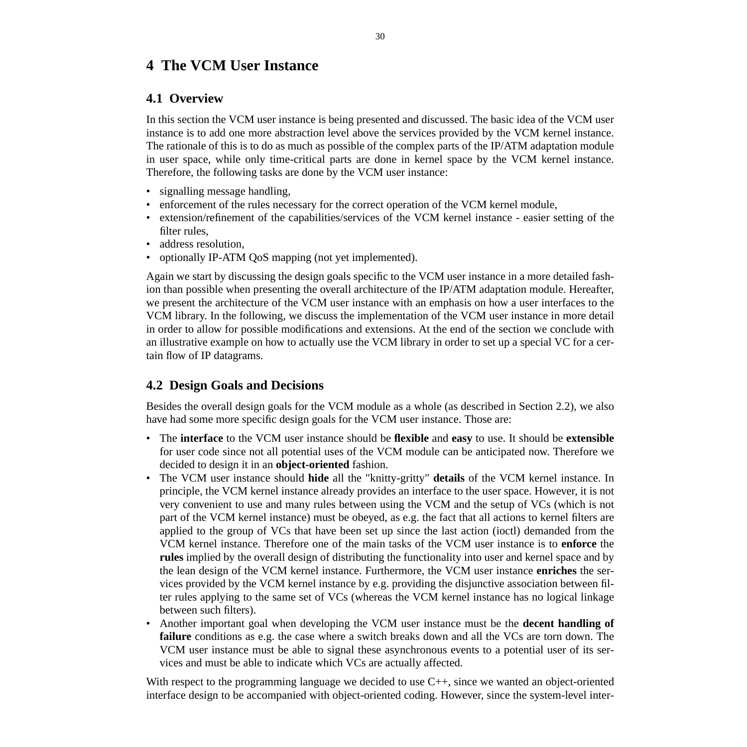# **4 The VCM User Instance**

# **4.1 Overview**

In this section the VCM user instance is being presented and discussed. The basic idea of the VCM user instance is to add one more abstraction level above the services provided by the VCM kernel instance. The rationale of this is to do as much as possible of the complex parts of the IP/ATM adaptation module in user space, while only time-critical parts are done in kernel space by the VCM kernel instance. Therefore, the following tasks are done by the VCM user instance:

- signalling message handling,
- enforcement of the rules necessary for the correct operation of the VCM kernel module,
- extension/refinement of the capabilities/services of the VCM kernel instance easier setting of the filter rules,
- address resolution.
- optionally IP-ATM QoS mapping (not yet implemented).

Again we start by discussing the design goals specific to the VCM user instance in a more detailed fashion than possible when presenting the overall architecture of the IP/ATM adaptation module. Hereafter, we present the architecture of the VCM user instance with an emphasis on how a user interfaces to the VCM library. In the following, we discuss the implementation of the VCM user instance in more detail in order to allow for possible modifications and extensions. At the end of the section we conclude with an illustrative example on how to actually use the VCM library in order to set up a special VC for a certain flow of IP datagrams.

# **4.2 Design Goals and Decisions**

Besides the overall design goals for the VCM module as a whole (as described in Section 2.2), we also have had some more specific design goals for the VCM user instance. Those are:

- The **interface** to the VCM user instance should be **flexible** and **easy** to use. It should be **extensible** for user code since not all potential uses of the VCM module can be anticipated now. Therefore we decided to design it in an **object-oriented** fashion.
- The VCM user instance should **hide** all the "knitty-gritty" **details** of the VCM kernel instance. In principle, the VCM kernel instance already provides an interface to the user space. However, it is not very convenient to use and many rules between using the VCM and the setup of VCs (which is not part of the VCM kernel instance) must be obeyed, as e.g. the fact that all actions to kernel filters are applied to the group of VCs that have been set up since the last action (ioctl) demanded from the VCM kernel instance. Therefore one of the main tasks of the VCM user instance is to **enforce** the **rules** implied by the overall design of distributing the functionality into user and kernel space and by the lean design of the VCM kernel instance. Furthermore, the VCM user instance **enriches** the services provided by the VCM kernel instance by e.g. providing the disjunctive association between filter rules applying to the same set of VCs (whereas the VCM kernel instance has no logical linkage between such filters).
- Another important goal when developing the VCM user instance must be the **decent handling of failure** conditions as e.g. the case where a switch breaks down and all the VCs are torn down. The VCM user instance must be able to signal these asynchronous events to a potential user of its services and must be able to indicate which VCs are actually affected.

With respect to the programming language we decided to use C++, since we wanted an object-oriented interface design to be accompanied with object-oriented coding. However, since the system-level inter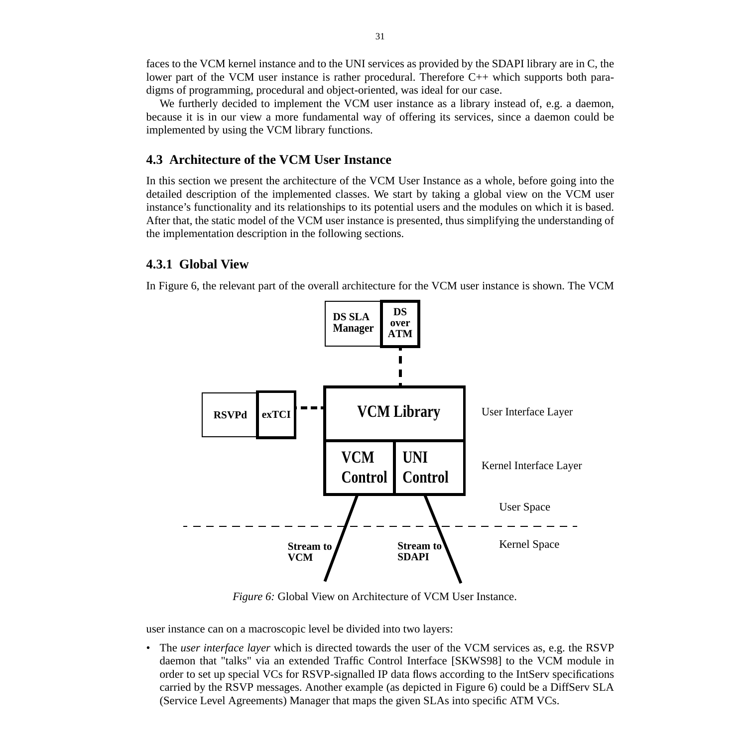faces to the VCM kernel instance and to the UNI services as provided by the SDAPI library are in C, the lower part of the VCM user instance is rather procedural. Therefore C++ which supports both paradigms of programming, procedural and object-oriented, was ideal for our case.

We furtherly decided to implement the VCM user instance as a library instead of, e.g. a daemon, because it is in our view a more fundamental way of offering its services, since a daemon could be implemented by using the VCM library functions.

## **4.3 Architecture of the VCM User Instance**

In this section we present the architecture of the VCM User Instance as a whole, before going into the detailed description of the implemented classes. We start by taking a global view on the VCM user instance's functionality and its relationships to its potential users and the modules on which it is based. After that, the static model of the VCM user instance is presented, thus simplifying the understanding of the implementation description in the following sections.

## **4.3.1 Global View**

In Figure 6, the relevant part of the overall architecture for the VCM user instance is shown. The VCM



*Figure 6:* Global View on Architecture of VCM User Instance.

user instance can on a macroscopic level be divided into two layers:

• The *user interface layer* which is directed towards the user of the VCM services as, e.g. the RSVP daemon that "talks" via an extended Traffic Control Interface [SKWS98] to the VCM module in order to set up special VCs for RSVP-signalled IP data flows according to the IntServ specifications carried by the RSVP messages. Another example (as depicted in Figure 6) could be a DiffServ SLA (Service Level Agreements) Manager that maps the given SLAs into specific ATM VCs.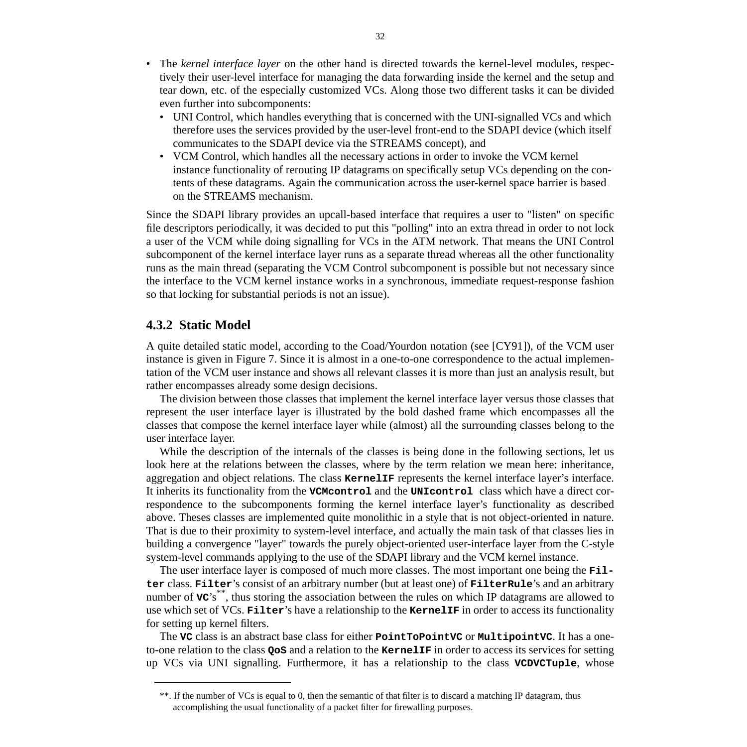- The *kernel interface layer* on the other hand is directed towards the kernel-level modules, respectively their user-level interface for managing the data forwarding inside the kernel and the setup and tear down, etc. of the especially customized VCs. Along those two different tasks it can be divided even further into subcomponents:
	- UNI Control, which handles everything that is concerned with the UNI-signalled VCs and which therefore uses the services provided by the user-level front-end to the SDAPI device (which itself communicates to the SDAPI device via the STREAMS concept), and
	- VCM Control, which handles all the necessary actions in order to invoke the VCM kernel instance functionality of rerouting IP datagrams on specifically setup VCs depending on the contents of these datagrams. Again the communication across the user-kernel space barrier is based on the STREAMS mechanism.

Since the SDAPI library provides an upcall-based interface that requires a user to "listen" on specific file descriptors periodically, it was decided to put this "polling" into an extra thread in order to not lock a user of the VCM while doing signalling for VCs in the ATM network. That means the UNI Control subcomponent of the kernel interface layer runs as a separate thread whereas all the other functionality runs as the main thread (separating the VCM Control subcomponent is possible but not necessary since the interface to the VCM kernel instance works in a synchronous, immediate request-response fashion so that locking for substantial periods is not an issue).

## **4.3.2 Static Model**

A quite detailed static model, according to the Coad/Yourdon notation (see [CY91]), of the VCM user instance is given in Figure 7. Since it is almost in a one-to-one correspondence to the actual implementation of the VCM user instance and shows all relevant classes it is more than just an analysis result, but rather encompasses already some design decisions.

The division between those classes that implement the kernel interface layer versus those classes that represent the user interface layer is illustrated by the bold dashed frame which encompasses all the classes that compose the kernel interface layer while (almost) all the surrounding classes belong to the user interface layer.

While the description of the internals of the classes is being done in the following sections, let us look here at the relations between the classes, where by the term relation we mean here: inheritance, aggregation and object relations. The class **KernelIF** represents the kernel interface layer's interface. It inherits its functionality from the **VCMcontrol** and the **UNIcontrol** class which have a direct correspondence to the subcomponents forming the kernel interface layer's functionality as described above. Theses classes are implemented quite monolithic in a style that is not object-oriented in nature. That is due to their proximity to system-level interface, and actually the main task of that classes lies in building a convergence "layer" towards the purely object-oriented user-interface layer from the C-style system-level commands applying to the use of the SDAPI library and the VCM kernel instance.

The user interface layer is composed of much more classes. The most important one being the **Filter** class. **Filter**'s consist of an arbitrary number (but at least one) of **FilterRule**'s and an arbitrary number of **vc**'s<sup>\*\*</sup>, thus storing the association between the rules on which IP datagrams are allowed to use which set of VCs. **Filter**'s have a relationship to the **KernelIF** in order to access its functionality for setting up kernel filters.

The **VC** class is an abstract base class for either **PointToPointVC** or **MultipointVC**. It has a oneto-one relation to the class **QoS** and a relation to the **KernelIF** in order to access its services for setting up VCs via UNI signalling. Furthermore, it has a relationship to the class **VCDVCTuple**, whose

<sup>\*\*.</sup> If the number of VCs is equal to 0, then the semantic of that filter is to discard a matching IP datagram, thus accomplishing the usual functionality of a packet filter for firewalling purposes.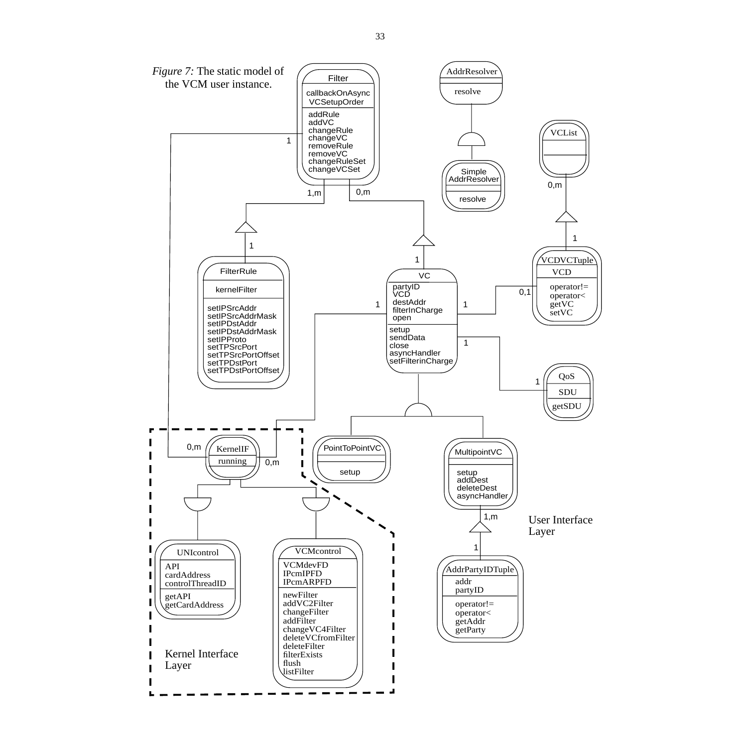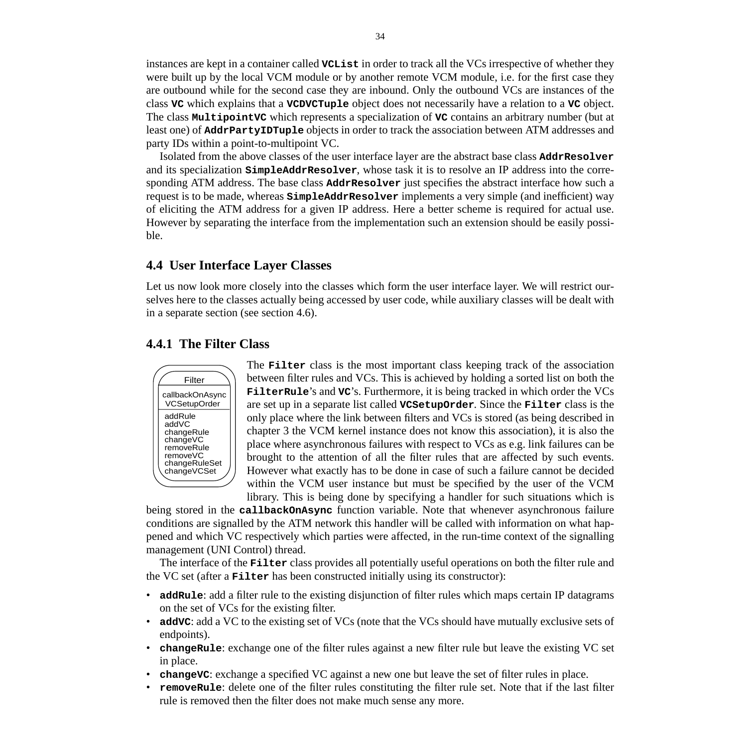instances are kept in a container called **VCList** in order to track all the VCs irrespective of whether they were built up by the local VCM module or by another remote VCM module, i.e. for the first case they are outbound while for the second case they are inbound. Only the outbound VCs are instances of the class **VC** which explains that a **VCDVCTuple** object does not necessarily have a relation to a **VC** object. The class **MultipointVC** which represents a specialization of **VC** contains an arbitrary number (but at least one) of **AddrPartyIDTuple** objects in order to track the association between ATM addresses and party IDs within a point-to-multipoint VC.

Isolated from the above classes of the user interface layer are the abstract base class **AddrResolver** and its specialization **SimpleAddrResolver**, whose task it is to resolve an IP address into the corresponding ATM address. The base class **AddrResolver** just specifies the abstract interface how such a request is to be made, whereas **SimpleAddrResolver** implements a very simple (and inefficient) way of eliciting the ATM address for a given IP address. Here a better scheme is required for actual use. However by separating the interface from the implementation such an extension should be easily possible.

## **4.4 User Interface Layer Classes**

Let us now look more closely into the classes which form the user interface layer. We will restrict ourselves here to the classes actually being accessed by user code, while auxiliary classes will be dealt with in a separate section (see section 4.6).

## **4.4.1 The Filter Class**



The **Filter** class is the most important class keeping track of the association between filter rules and VCs. This is achieved by holding a sorted list on both the **FilterRule**'s and **VC**'s. Furthermore, it is being tracked in which order the VCs are set up in a separate list called **VCSetupOrder**. Since the **Filter** class is the only place where the link between filters and VCs is stored (as being described in chapter 3 the VCM kernel instance does not know this association), it is also the place where asynchronous failures with respect to VCs as e.g. link failures can be brought to the attention of all the filter rules that are affected by such events. However what exactly has to be done in case of such a failure cannot be decided within the VCM user instance but must be specified by the user of the VCM library. This is being done by specifying a handler for such situations which is

being stored in the **callbackOnAsync** function variable. Note that whenever asynchronous failure conditions are signalled by the ATM network this handler will be called with information on what happened and which VC respectively which parties were affected, in the run-time context of the signalling management (UNI Control) thread.

The interface of the **Filter** class provides all potentially useful operations on both the filter rule and the VC set (after a **Filter** has been constructed initially using its constructor):

- **addRule**: add a filter rule to the existing disjunction of filter rules which maps certain IP datagrams on the set of VCs for the existing filter.
- **addVC**: add a VC to the existing set of VCs (note that the VCs should have mutually exclusive sets of endpoints).
- **changeRule**: exchange one of the filter rules against a new filter rule but leave the existing VC set in place.
- **changeVC**: exchange a specified VC against a new one but leave the set of filter rules in place.
- **removeRule**: delete one of the filter rules constituting the filter rule set. Note that if the last filter rule is removed then the filter does not make much sense any more.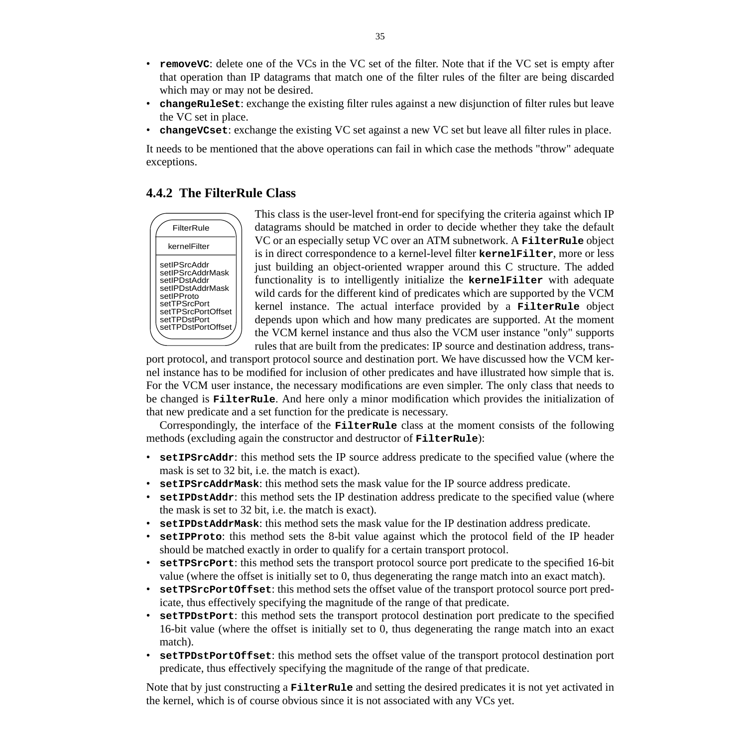- **removeVC**: delete one of the VCs in the VC set of the filter. Note that if the VC set is empty after that operation than IP datagrams that match one of the filter rules of the filter are being discarded which may or may not be desired.
- **changeRuleSet**: exchange the existing filter rules against a new disjunction of filter rules but leave the VC set in place.
- **changeVCset**: exchange the existing VC set against a new VC set but leave all filter rules in place.

It needs to be mentioned that the above operations can fail in which case the methods "throw" adequate exceptions.

## **4.4.2 The FilterRule Class**



This class is the user-level front-end for specifying the criteria against which IP datagrams should be matched in order to decide whether they take the default VC or an especially setup VC over an ATM subnetwork. A **FilterRule** object is in direct correspondence to a kernel-level filter **kernelFilter**, more or less just building an object-oriented wrapper around this C structure. The added functionality is to intelligently initialize the **kernelFilter** with adequate wild cards for the different kind of predicates which are supported by the VCM kernel instance. The actual interface provided by a **FilterRule** object depends upon which and how many predicates are supported. At the moment the VCM kernel instance and thus also the VCM user instance "only" supports rules that are built from the predicates: IP source and destination address, trans-

port protocol, and transport protocol source and destination port. We have discussed how the VCM kernel instance has to be modified for inclusion of other predicates and have illustrated how simple that is. For the VCM user instance, the necessary modifications are even simpler. The only class that needs to be changed is **FilterRule**. And here only a minor modification which provides the initialization of that new predicate and a set function for the predicate is necessary.

Correspondingly, the interface of the **FilterRule** class at the moment consists of the following methods (excluding again the constructor and destructor of **FilterRule**):

- **setIPSrcAddr**: this method sets the IP source address predicate to the specified value (where the mask is set to 32 bit, i.e. the match is exact).
- **setIPSrcAddrMask**: this method sets the mask value for the IP source address predicate.
- **setIPDstAddr**: this method sets the IP destination address predicate to the specified value (where the mask is set to 32 bit, i.e. the match is exact).
- **setIPDstAddrMask**: this method sets the mask value for the IP destination address predicate.
- **setIPProto**: this method sets the 8-bit value against which the protocol field of the IP header should be matched exactly in order to qualify for a certain transport protocol.
- **setTPSrcPort**: this method sets the transport protocol source port predicate to the specified 16-bit value (where the offset is initially set to 0, thus degenerating the range match into an exact match).
- **setTPSrcPortOffset**: this method sets the offset value of the transport protocol source port predicate, thus effectively specifying the magnitude of the range of that predicate.
- **setTPDstPort**: this method sets the transport protocol destination port predicate to the specified 16-bit value (where the offset is initially set to 0, thus degenerating the range match into an exact match).
- **setTPDstPortOffset**: this method sets the offset value of the transport protocol destination port predicate, thus effectively specifying the magnitude of the range of that predicate.

Note that by just constructing a **FilterRule** and setting the desired predicates it is not yet activated in the kernel, which is of course obvious since it is not associated with any VCs yet.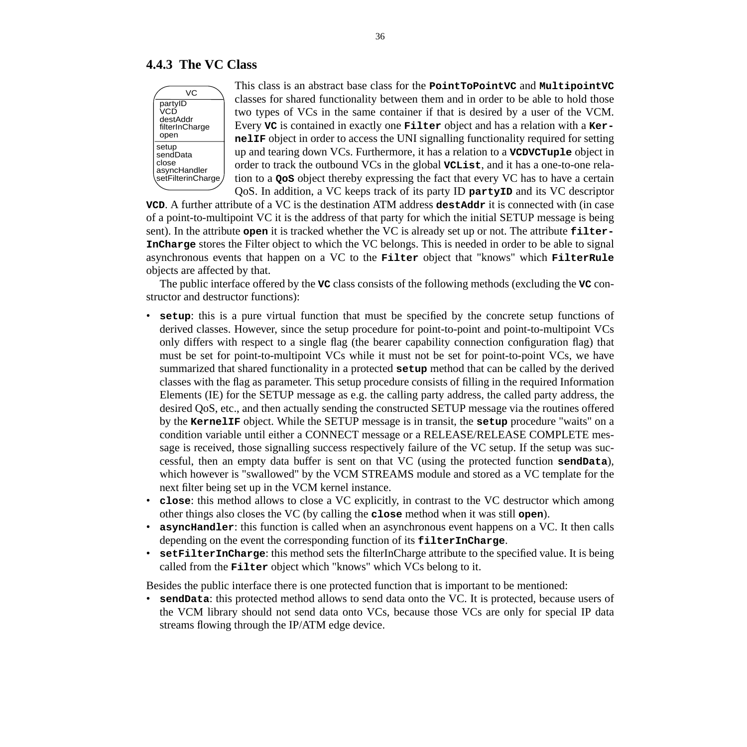### **4.4.3 The VC Class**



This class is an abstract base class for the **PointToPointVC** and **MultipointVC** classes for shared functionality between them and in order to be able to hold those two types of VCs in the same container if that is desired by a user of the VCM. Every **VC** is contained in exactly one **Filter** object and has a relation with a **KernelIF** object in order to access the UNI signalling functionality required for setting up and tearing down VCs. Furthermore, it has a relation to a **VCDVCTuple** object in order to track the outbound VCs in the global **VCList**, and it has a one-to-one relation to a **QoS** object thereby expressing the fact that every VC has to have a certain QoS. In addition, a VC keeps track of its party ID **partyID** and its VC descriptor

**VCD**. A further attribute of a VC is the destination ATM address **destAddr** it is connected with (in case of a point-to-multipoint VC it is the address of that party for which the initial SETUP message is being sent). In the attribute **open** it is tracked whether the VC is already set up or not. The attribute **filter-InCharge** stores the Filter object to which the VC belongs. This is needed in order to be able to signal asynchronous events that happen on a VC to the **Filter** object that "knows" which **FilterRule** objects are affected by that.

The public interface offered by the **VC** class consists of the following methods (excluding the **VC** constructor and destructor functions):

- **setup**: this is a pure virtual function that must be specified by the concrete setup functions of derived classes. However, since the setup procedure for point-to-point and point-to-multipoint VCs only differs with respect to a single flag (the bearer capability connection configuration flag) that must be set for point-to-multipoint VCs while it must not be set for point-to-point VCs, we have summarized that shared functionality in a protected **setup** method that can be called by the derived classes with the flag as parameter. This setup procedure consists of filling in the required Information Elements (IE) for the SETUP message as e.g. the calling party address, the called party address, the desired QoS, etc., and then actually sending the constructed SETUP message via the routines offered by the **KernelIF** object. While the SETUP message is in transit, the **setup** procedure "waits" on a condition variable until either a CONNECT message or a RELEASE/RELEASE COMPLETE message is received, those signalling success respectively failure of the VC setup. If the setup was successful, then an empty data buffer is sent on that VC (using the protected function **sendData**), which however is "swallowed" by the VCM STREAMS module and stored as a VC template for the next filter being set up in the VCM kernel instance.
- **close**: this method allows to close a VC explicitly, in contrast to the VC destructor which among other things also closes the VC (by calling the **close** method when it was still **open**).
- **asyncHandler**: this function is called when an asynchronous event happens on a VC. It then calls depending on the event the corresponding function of its **filterInCharge**.
- **setFilterInCharge**: this method sets the filterInCharge attribute to the specified value. It is being called from the **Filter** object which "knows" which VCs belong to it.

Besides the public interface there is one protected function that is important to be mentioned:

• **sendData**: this protected method allows to send data onto the VC. It is protected, because users of the VCM library should not send data onto VCs, because those VCs are only for special IP data streams flowing through the IP/ATM edge device.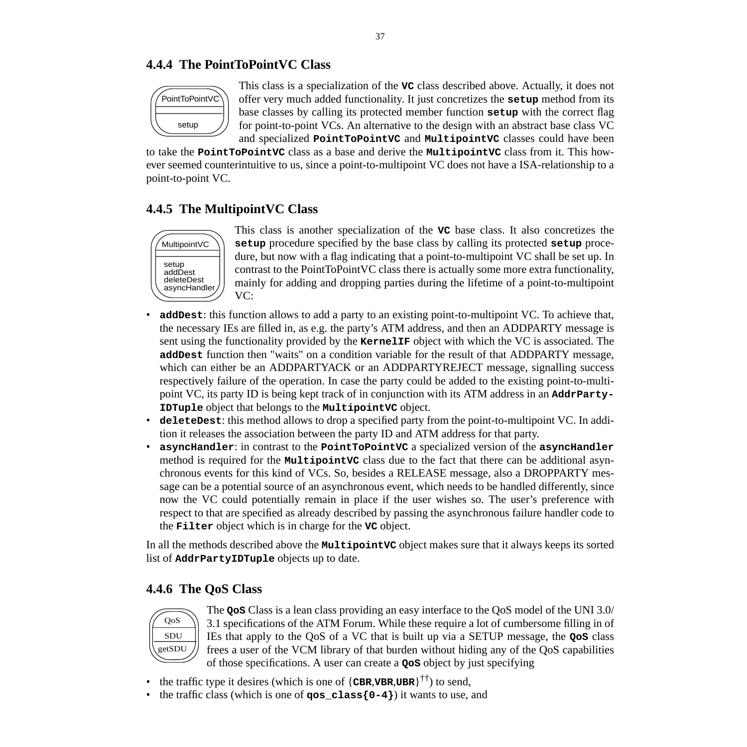# **4.4.4 The PointToPointVC Class**



This class is a specialization of the **VC** class described above. Actually, it does not offer very much added functionality. It just concretizes the **setup** method from its base classes by calling its protected member function **setup** with the correct flag for point-to-point VCs. An alternative to the design with an abstract base class VC and specialized **PointToPointVC** and **MultipointVC** classes could have been

to take the **PointToPointVC** class as a base and derive the **MultipointVC** class from it. This however seemed counterintuitive to us, since a point-to-multipoint VC does not have a ISA-relationship to a point-to-point VC.

# **4.4.5 The MultipointVC Class**



This class is another specialization of the **VC** base class. It also concretizes the **setup** procedure specified by the base class by calling its protected **setup** procedure, but now with a flag indicating that a point-to-multipoint VC shall be set up. In contrast to the PointToPointVC class there is actually some more extra functionality, mainly for adding and dropping parties during the lifetime of a point-to-multipoint VC:

- **addDest**: this function allows to add a party to an existing point-to-multipoint VC. To achieve that, the necessary IEs are filled in, as e.g. the party's ATM address, and then an ADDPARTY message is sent using the functionality provided by the **KernelIF** object with which the VC is associated. The **addDest** function then "waits" on a condition variable for the result of that ADDPARTY message, which can either be an ADDPARTYACK or an ADDPARTYREJECT message, signalling success respectively failure of the operation. In case the party could be added to the existing point-to-multipoint VC, its party ID is being kept track of in conjunction with its ATM address in an **AddrParty-IDTuple** object that belongs to the **MultipointVC** object.
- **deleteDest**: this method allows to drop a specified party from the point-to-multipoint VC. In addition it releases the association between the party ID and ATM address for that party.
- **asyncHandler**: in contrast to the **PointToPointVC** a specialized version of the **asyncHandler** method is required for the **MultipointVC** class due to the fact that there can be additional asynchronous events for this kind of VCs. So, besides a RELEASE message, also a DROPPARTY message can be a potential source of an asynchronous event, which needs to be handled differently, since now the VC could potentially remain in place if the user wishes so. The user's preference with respect to that are specified as already described by passing the asynchronous failure handler code to the **Filter** object which is in charge for the **VC** object.

In all the methods described above the **MultipointVC** object makes sure that it always keeps its sorted list of **AddrPartyIDTuple** objects up to date.

# **4.4.6 The QoS Class**



The **QoS** Class is a lean class providing an easy interface to the QoS model of the UNI 3.0/ 3.1 specifications of the ATM Forum. While these require a lot of cumbersome filling in of IEs that apply to the QoS of a VC that is built up via a SETUP message, the **QoS** class frees a user of the VCM library of that burden without hiding any of the QoS capabilities of those specifications. A user can create a **QoS** object by just specifying

- the traffic type it desires (which is one of  $\{CBR, VBR, UBR\}^{\dagger \dagger}$ ) to send,
- the traffic class (which is one of **qos\_class**{0-4}) it wants to use, and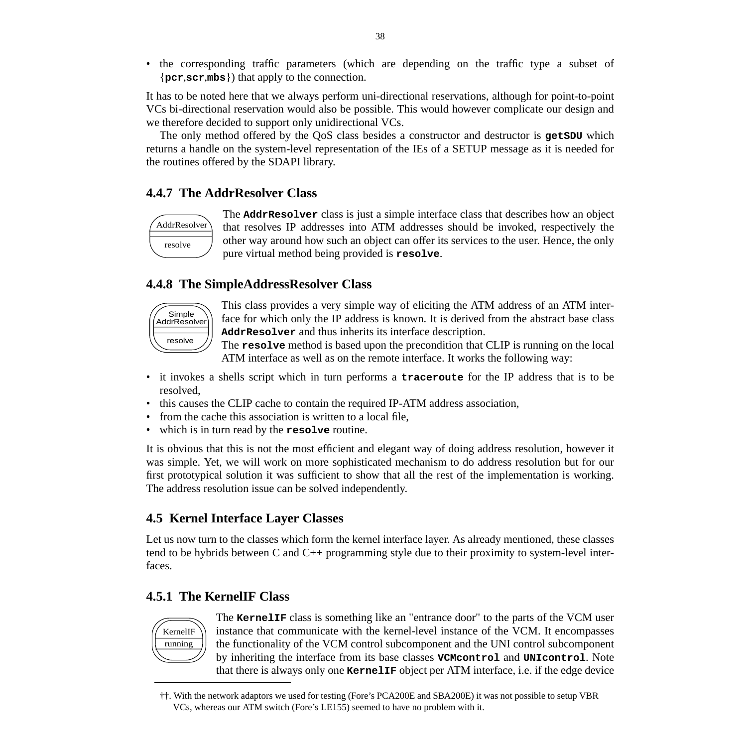• the corresponding traffic parameters (which are depending on the traffic type a subset of {**pcr**,**scr**,**mbs**}) that apply to the connection.

It has to be noted here that we always perform uni-directional reservations, although for point-to-point VCs bi-directional reservation would also be possible. This would however complicate our design and we therefore decided to support only unidirectional VCs.

The only method offered by the QoS class besides a constructor and destructor is **getSDU** which returns a handle on the system-level representation of the IEs of a SETUP message as it is needed for the routines offered by the SDAPI library.

# **4.4.7 The AddrResolver Class**



The **AddrResolver** class is just a simple interface class that describes how an object that resolves IP addresses into ATM addresses should be invoked, respectively the other way around how such an object can offer its services to the user. Hence, the only pure virtual method being provided is **resolve**.

# **4.4.8 The SimpleAddressResolver Class**



This class provides a very simple way of eliciting the ATM address of an ATM interface for which only the IP address is known. It is derived from the abstract base class **AddrResolver** and thus inherits its interface description.

The **resolve** method is based upon the precondition that CLIP is running on the local ATM interface as well as on the remote interface. It works the following way:

- it invokes a shells script which in turn performs a **traceroute** for the IP address that is to be resolved,
- this causes the CLIP cache to contain the required IP-ATM address association,
- from the cache this association is written to a local file.
- which is in turn read by the **resolve** routine.

It is obvious that this is not the most efficient and elegant way of doing address resolution, however it was simple. Yet, we will work on more sophisticated mechanism to do address resolution but for our first prototypical solution it was sufficient to show that all the rest of the implementation is working. The address resolution issue can be solved independently.

# **4.5 Kernel Interface Layer Classes**

Let us now turn to the classes which form the kernel interface layer. As already mentioned, these classes tend to be hybrids between C and C++ programming style due to their proximity to system-level interfaces.

# **4.5.1 The KernelIF Class**



The **KernelIF** class is something like an "entrance door" to the parts of the VCM user instance that communicate with the kernel-level instance of the VCM. It encompasses the functionality of the VCM control subcomponent and the UNI control subcomponent by inheriting the interface from its base classes **VCMcontrol** and **UNIcontrol**. Note that there is always only one **KernelIF** object per ATM interface, i.e. if the edge device

<sup>††.</sup> With the network adaptors we used for testing (Fore's PCA200E and SBA200E) it was not possible to setup VBR VCs, whereas our ATM switch (Fore's LE155) seemed to have no problem with it.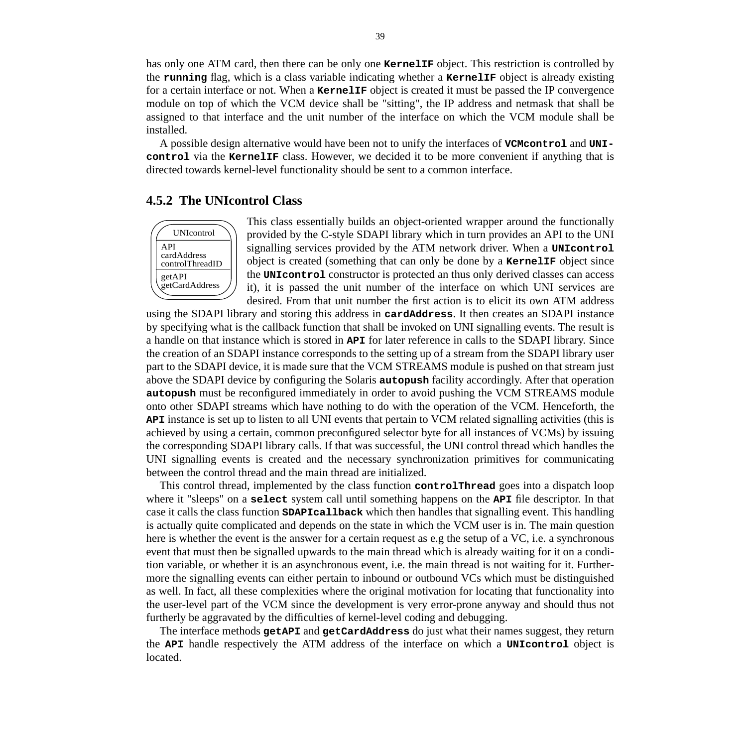has only one ATM card, then there can be only one **KernelIF** object. This restriction is controlled by the **running** flag, which is a class variable indicating whether a **KernelIF** object is already existing for a certain interface or not. When a **KernelIF** object is created it must be passed the IP convergence module on top of which the VCM device shall be "sitting", the IP address and netmask that shall be assigned to that interface and the unit number of the interface on which the VCM module shall be installed.

A possible design alternative would have been not to unify the interfaces of **VCMcontrol** and **UNIcontrol** via the **KernelIF** class. However, we decided it to be more convenient if anything that is directed towards kernel-level functionality should be sent to a common interface.

#### **4.5.2 The UNIcontrol Class**



This class essentially builds an object-oriented wrapper around the functionally provided by the C-style SDAPI library which in turn provides an API to the UNI signalling services provided by the ATM network driver. When a **UNIcontrol** object is created (something that can only be done by a **KernelIF** object since the **UNIcontrol** constructor is protected an thus only derived classes can access it), it is passed the unit number of the interface on which UNI services are desired. From that unit number the first action is to elicit its own ATM address

using the SDAPI library and storing this address in **cardAddress**. It then creates an SDAPI instance by specifying what is the callback function that shall be invoked on UNI signalling events. The result is a handle on that instance which is stored in **API** for later reference in calls to the SDAPI library. Since the creation of an SDAPI instance corresponds to the setting up of a stream from the SDAPI library user part to the SDAPI device, it is made sure that the VCM STREAMS module is pushed on that stream just above the SDAPI device by configuring the Solaris **autopush** facility accordingly. After that operation **autopush** must be reconfigured immediately in order to avoid pushing the VCM STREAMS module onto other SDAPI streams which have nothing to do with the operation of the VCM. Henceforth, the **API** instance is set up to listen to all UNI events that pertain to VCM related signalling activities (this is achieved by using a certain, common preconfigured selector byte for all instances of VCMs) by issuing the corresponding SDAPI library calls. If that was successful, the UNI control thread which handles the UNI signalling events is created and the necessary synchronization primitives for communicating between the control thread and the main thread are initialized.

This control thread, implemented by the class function **controlThread** goes into a dispatch loop where it "sleeps" on a **select** system call until something happens on the **API** file descriptor. In that case it calls the class function **SDAPIcallback** which then handles that signalling event. This handling is actually quite complicated and depends on the state in which the VCM user is in. The main question here is whether the event is the answer for a certain request as e.g the setup of a VC, i.e. a synchronous event that must then be signalled upwards to the main thread which is already waiting for it on a condition variable, or whether it is an asynchronous event, i.e. the main thread is not waiting for it. Furthermore the signalling events can either pertain to inbound or outbound VCs which must be distinguished as well. In fact, all these complexities where the original motivation for locating that functionality into the user-level part of the VCM since the development is very error-prone anyway and should thus not furtherly be aggravated by the difficulties of kernel-level coding and debugging.

The interface methods **getAPI** and **getCardAddress** do just what their names suggest, they return the **API** handle respectively the ATM address of the interface on which a **UNIcontrol** object is located.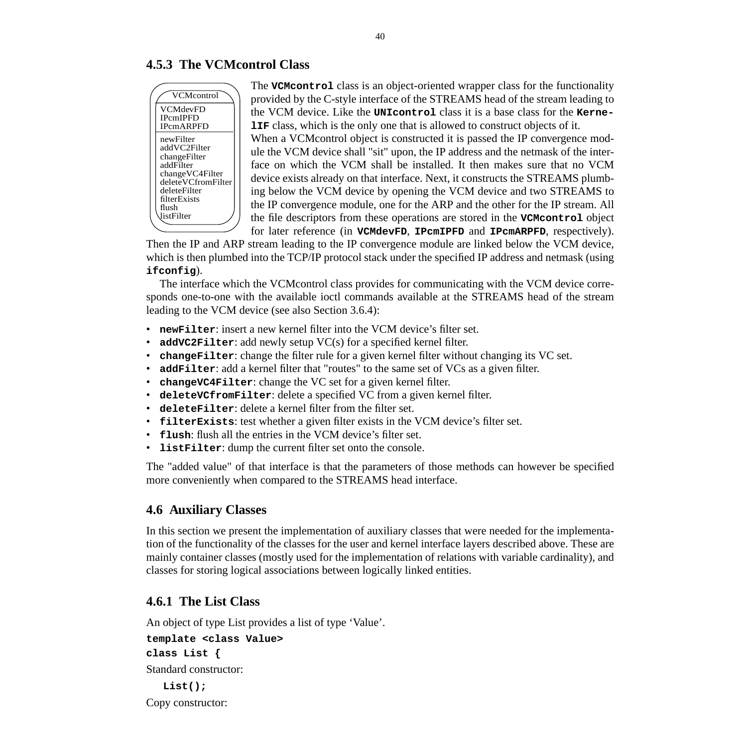# **4.5.3 The VCMcontrol Class**



The **VCMcontrol** class is an object-oriented wrapper class for the functionality provided by the C-style interface of the STREAMS head of the stream leading to the VCM device. Like the **UNIcontrol** class it is a base class for the **Kerne-LIF** class, which is the only one that is allowed to construct objects of it.

When a VCMcontrol object is constructed it is passed the IP convergence module the VCM device shall "sit" upon, the IP address and the netmask of the interface on which the VCM shall be installed. It then makes sure that no VCM device exists already on that interface. Next, it constructs the STREAMS plumbing below the VCM device by opening the VCM device and two STREAMS to the IP convergence module, one for the ARP and the other for the IP stream. All the file descriptors from these operations are stored in the **VCMcontrol** object for later reference (in **VCMdevFD**, **IPcmIPFD** and **IPcmARPFD**, respectively).

Then the IP and ARP stream leading to the IP convergence module are linked below the VCM device, which is then plumbed into the TCP/IP protocol stack under the specified IP address and netmask (using **ifconfig**).

The interface which the VCMcontrol class provides for communicating with the VCM device corresponds one-to-one with the available ioctl commands available at the STREAMS head of the stream leading to the VCM device (see also Section 3.6.4):

- **newFilter**: insert a new kernel filter into the VCM device's filter set.
- **addVC2Filter**: add newly setup VC(s) for a specified kernel filter.
- **changeFilter**: change the filter rule for a given kernel filter without changing its VC set.
- **addFilter**: add a kernel filter that "routes" to the same set of VCs as a given filter.
- **changeVC4Filter**: change the VC set for a given kernel filter.
- **deleteVCfromFilter**: delete a specified VC from a given kernel filter.
- **deleteFilter**: delete a kernel filter from the filter set.
- **filterExists**: test whether a given filter exists in the VCM device's filter set.
- **flush**: flush all the entries in the VCM device's filter set.
- **listFilter**: dump the current filter set onto the console.

The "added value" of that interface is that the parameters of those methods can however be specified more conveniently when compared to the STREAMS head interface.

# **4.6 Auxiliary Classes**

In this section we present the implementation of auxiliary classes that were needed for the implementation of the functionality of the classes for the user and kernel interface layers described above. These are mainly container classes (mostly used for the implementation of relations with variable cardinality), and classes for storing logical associations between logically linked entities.

# **4.6.1 The List Class**

An object of type List provides a list of type 'Value'.

# **template <class Value>**

**class List {**

Standard constructor:

**List();** Copy constructor: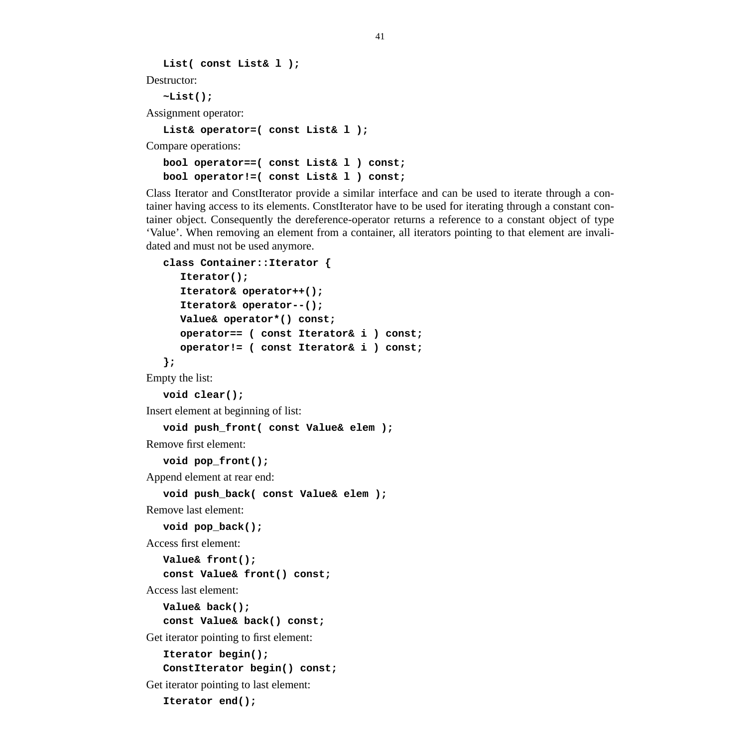**List( const List& l );**

Destructor:

**~List();**

Assignment operator:

**List& operator=( const List& l );**

Compare operations:

**bool operator==( const List& l ) const; bool operator!=( const List& l ) const;**

Class Iterator and ConstIterator provide a similar interface and can be used to iterate through a container having access to its elements. ConstIterator have to be used for iterating through a constant container object. Consequently the dereference-operator returns a reference to a constant object of type 'Value'. When removing an element from a container, all iterators pointing to that element are invalidated and must not be used anymore.

**class Container::Iterator { Iterator(); Iterator& operator++(); Iterator& operator--(); Value& operator\*() const; operator== ( const Iterator& i ) const; operator!= ( const Iterator& i ) const; };** Empty the list: **void clear();** Insert element at beginning of list: **void push\_front( const Value& elem );** Remove first element: **void pop\_front();** Append element at rear end: **void push\_back( const Value& elem );** Remove last element: **void pop\_back();** Access first element: **Value& front(); const Value& front() const;** Access last element: **Value& back(); const Value& back() const;** Get iterator pointing to first element: **Iterator begin(); ConstIterator begin() const;** Get iterator pointing to last element: **Iterator end();**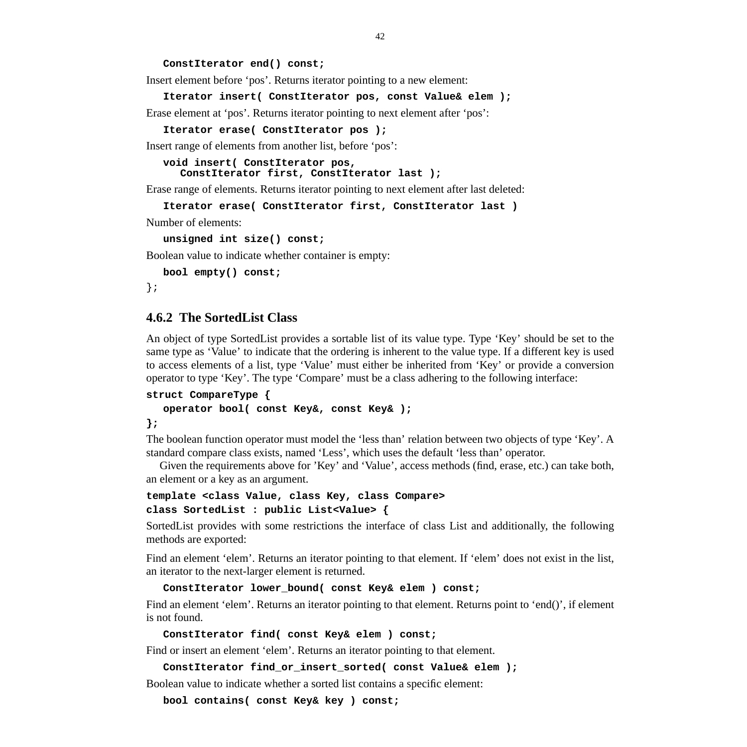**ConstIterator end() const;**

Insert element before 'pos'. Returns iterator pointing to a new element:

**Iterator insert( ConstIterator pos, const Value& elem );**

Erase element at 'pos'. Returns iterator pointing to next element after 'pos':

**Iterator erase( ConstIterator pos );**

Insert range of elements from another list, before 'pos':

```
void insert( ConstIterator pos,
  ConstIterator first, ConstIterator last );
```
Erase range of elements. Returns iterator pointing to next element after last deleted:

```
Iterator erase( ConstIterator first, ConstIterator last )
```
Number of elements:

```
unsigned int size() const;
```
Boolean value to indicate whether container is empty:

**bool empty() const;**

};

#### **4.6.2 The SortedList Class**

An object of type SortedList provides a sortable list of its value type. Type 'Key' should be set to the same type as 'Value' to indicate that the ordering is inherent to the value type. If a different key is used to access elements of a list, type 'Value' must either be inherited from 'Key' or provide a conversion operator to type 'Key'. The type 'Compare' must be a class adhering to the following interface:

```
struct CompareType {
  operator bool( const Key&, const Key& );
```
**};**

The boolean function operator must model the 'less than' relation between two objects of type 'Key'. A standard compare class exists, named 'Less', which uses the default 'less than' operator.

Given the requirements above for 'Key' and 'Value', access methods (find, erase, etc.) can take both, an element or a key as an argument.

**template <class Value, class Key, class Compare> class SortedList : public List<Value> {**

SortedList provides with some restrictions the interface of class List and additionally, the following methods are exported:

Find an element 'elem'. Returns an iterator pointing to that element. If 'elem' does not exist in the list, an iterator to the next-larger element is returned.

```
ConstIterator lower_bound( const Key& elem ) const;
```
Find an element 'elem'. Returns an iterator pointing to that element. Returns point to 'end()', if element is not found.

```
ConstIterator find( const Key& elem ) const;
```
Find or insert an element 'elem'. Returns an iterator pointing to that element.

```
ConstIterator find_or_insert_sorted( const Value& elem );
```
Boolean value to indicate whether a sorted list contains a specific element:

**bool contains( const Key& key ) const;**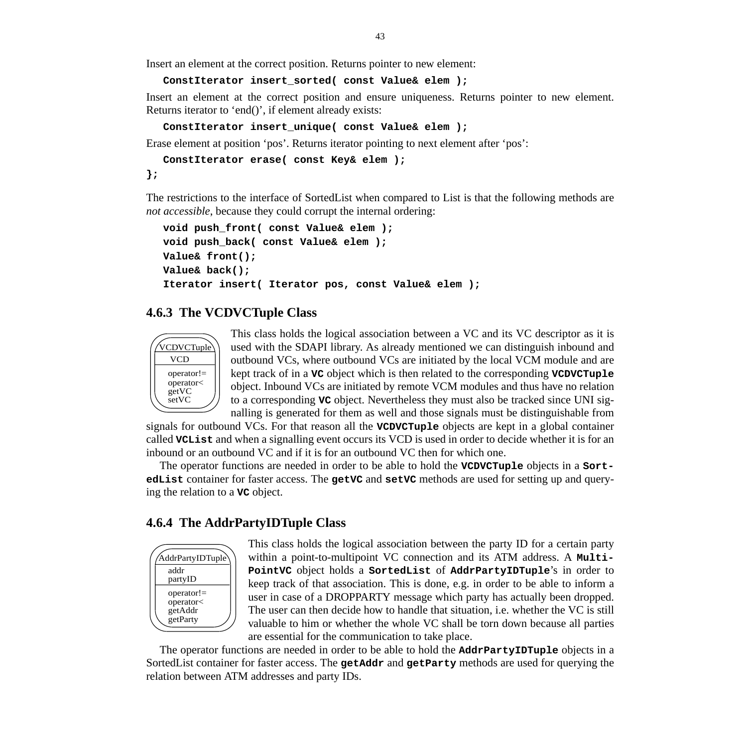Insert an element at the correct position. Returns pointer to new element:

**ConstIterator insert\_sorted( const Value& elem );**

Insert an element at the correct position and ensure uniqueness. Returns pointer to new element. Returns iterator to 'end()', if element already exists:

```
ConstIterator insert_unique( const Value& elem );
```
Erase element at position 'pos'. Returns iterator pointing to next element after 'pos':

```
ConstIterator erase( const Key& elem );
```
**};**

The restrictions to the interface of SortedList when compared to List is that the following methods are *not accessible*, because they could corrupt the internal ordering:

```
void push_front( const Value& elem );
void push_back( const Value& elem );
Value& front();
Value& back();
Iterator insert( Iterator pos, const Value& elem );
```
## **4.6.3 The VCDVCTuple Class**



This class holds the logical association between a VC and its VC descriptor as it is used with the SDAPI library. As already mentioned we can distinguish inbound and outbound VCs, where outbound VCs are initiated by the local VCM module and are kept track of in a **VC** object which is then related to the corresponding **VCDVCTuple** object. Inbound VCs are initiated by remote VCM modules and thus have no relation to a corresponding **VC** object. Nevertheless they must also be tracked since UNI signalling is generated for them as well and those signals must be distinguishable from

signals for outbound VCs. For that reason all the **VCDVCTuple** objects are kept in a global container called **VCList** and when a signalling event occurs its VCD is used in order to decide whether it is for an inbound or an outbound VC and if it is for an outbound VC then for which one.

The operator functions are needed in order to be able to hold the **VCDVCTuple** objects in a **SortedList** container for faster access. The **getVC** and **setVC** methods are used for setting up and querying the relation to a **VC** object.

## **4.6.4 The AddrPartyIDTuple Class**



This class holds the logical association between the party ID for a certain party within a point-to-multipoint VC connection and its ATM address. A **Multi-PointVC** object holds a **SortedList** of **AddrPartyIDTuple**'s in order to keep track of that association. This is done, e.g. in order to be able to inform a user in case of a DROPPARTY message which party has actually been dropped. The user can then decide how to handle that situation, i.e. whether the VC is still valuable to him or whether the whole VC shall be torn down because all parties are essential for the communication to take place.

The operator functions are needed in order to be able to hold the **AddrPartyIDTuple** objects in a SortedList container for faster access. The **getAddr** and **getParty** methods are used for querying the relation between ATM addresses and party IDs.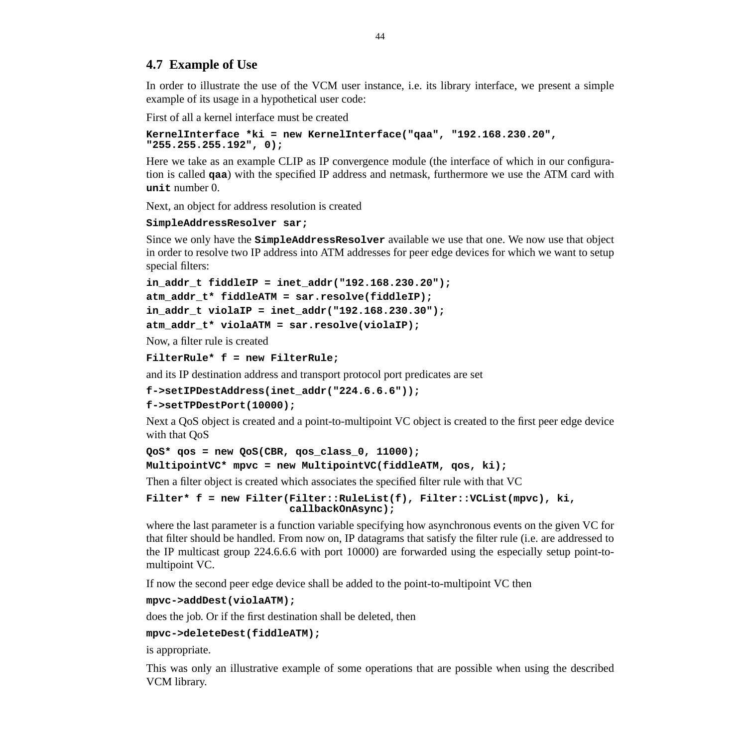# **4.7 Example of Use**

In order to illustrate the use of the VCM user instance, i.e. its library interface, we present a simple example of its usage in a hypothetical user code:

First of all a kernel interface must be created

```
KernelInterface *ki = new KernelInterface("qaa", "192.168.230.20",
"255.255.255.192", 0);
```
Here we take as an example CLIP as IP convergence module (the interface of which in our configuration is called **qaa**) with the specified IP address and netmask, furthermore we use the ATM card with **unit** number 0.

Next, an object for address resolution is created

#### **SimpleAddressResolver sar;**

Since we only have the **SimpleAddressResolver** available we use that one. We now use that object in order to resolve two IP address into ATM addresses for peer edge devices for which we want to setup special filters:

```
in_addr_t fiddleIP = inet_addr("192.168.230.20");
atm_addr_t* fiddleATM = sar.resolve(fiddleIP);
in_addr_t violaIP = inet_addr("192.168.230.30");
atm_addr_t* violaATM = sar.resolve(violaIP);
```
Now, a filter rule is created

```
FilterRule* f = new FilterRule;
```
and its IP destination address and transport protocol port predicates are set

**f->setIPDestAddress(inet\_addr("224.6.6.6"));**

```
f->setTPDestPort(10000);
```
Next a QoS object is created and a point-to-multipoint VC object is created to the first peer edge device with that QoS

```
QoS* qos = new QoS(CBR, qos_class_0, 11000);
```

```
MultipointVC* mpvc = new MultipointVC(fiddleATM, qos, ki);
```
Then a filter object is created which associates the specified filter rule with that VC

```
Filter* f = new Filter(Filter::RuleList(f), Filter::VCList(mpvc), ki,
                       callbackOnAsync);
```
where the last parameter is a function variable specifying how asynchronous events on the given VC for that filter should be handled. From now on, IP datagrams that satisfy the filter rule (i.e. are addressed to the IP multicast group 224.6.6.6 with port 10000) are forwarded using the especially setup point-tomultipoint VC.

If now the second peer edge device shall be added to the point-to-multipoint VC then

#### **mpvc->addDest(violaATM);**

does the job. Or if the first destination shall be deleted, then

#### **mpvc->deleteDest(fiddleATM);**

is appropriate.

This was only an illustrative example of some operations that are possible when using the described VCM library.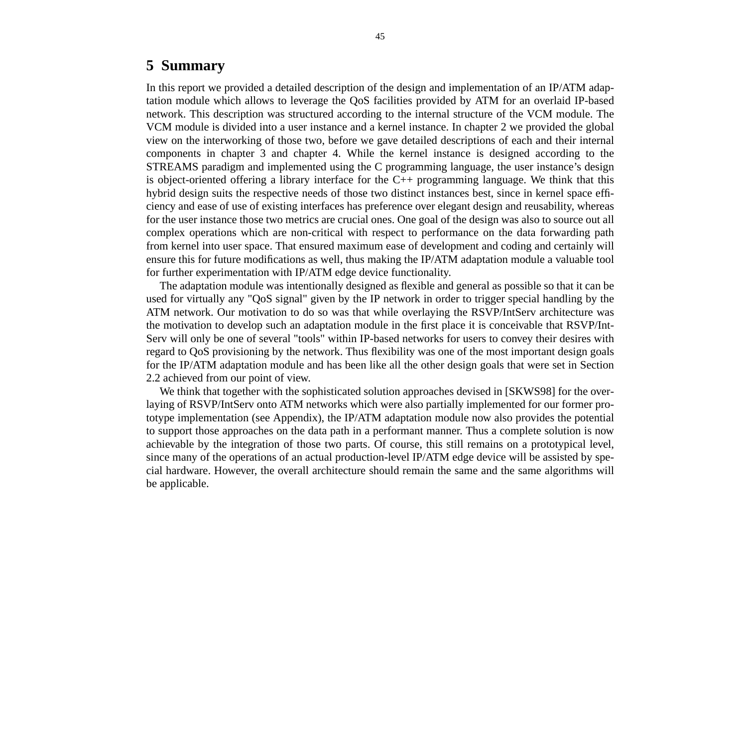# **5 Summary**

In this report we provided a detailed description of the design and implementation of an IP/ATM adaptation module which allows to leverage the QoS facilities provided by ATM for an overlaid IP-based network. This description was structured according to the internal structure of the VCM module. The VCM module is divided into a user instance and a kernel instance. In chapter 2 we provided the global view on the interworking of those two, before we gave detailed descriptions of each and their internal components in chapter 3 and chapter 4. While the kernel instance is designed according to the STREAMS paradigm and implemented using the C programming language, the user instance's design is object-oriented offering a library interface for the C++ programming language. We think that this hybrid design suits the respective needs of those two distinct instances best, since in kernel space efficiency and ease of use of existing interfaces has preference over elegant design and reusability, whereas for the user instance those two metrics are crucial ones. One goal of the design was also to source out all complex operations which are non-critical with respect to performance on the data forwarding path from kernel into user space. That ensured maximum ease of development and coding and certainly will ensure this for future modifications as well, thus making the IP/ATM adaptation module a valuable tool for further experimentation with IP/ATM edge device functionality.

The adaptation module was intentionally designed as flexible and general as possible so that it can be used for virtually any "QoS signal" given by the IP network in order to trigger special handling by the ATM network. Our motivation to do so was that while overlaying the RSVP/IntServ architecture was the motivation to develop such an adaptation module in the first place it is conceivable that RSVP/Int-Serv will only be one of several "tools" within IP-based networks for users to convey their desires with regard to QoS provisioning by the network. Thus flexibility was one of the most important design goals for the IP/ATM adaptation module and has been like all the other design goals that were set in Section 2.2 achieved from our point of view.

We think that together with the sophisticated solution approaches devised in [SKWS98] for the overlaying of RSVP/IntServ onto ATM networks which were also partially implemented for our former prototype implementation (see Appendix), the IP/ATM adaptation module now also provides the potential to support those approaches on the data path in a performant manner. Thus a complete solution is now achievable by the integration of those two parts. Of course, this still remains on a prototypical level, since many of the operations of an actual production-level IP/ATM edge device will be assisted by special hardware. However, the overall architecture should remain the same and the same algorithms will be applicable.